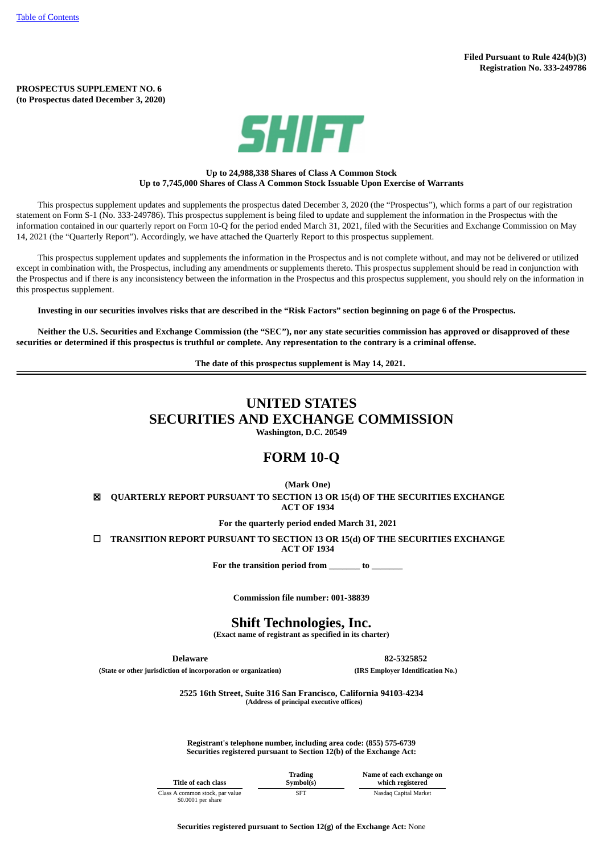#### **PROSPECTUS SUPPLEMENT NO. 6 (to Prospectus dated December 3, 2020)**



## **Up to 24,988,338 Shares of Class A Common Stock Up to 7,745,000 Shares of Class A Common Stock Issuable Upon Exercise of Warrants**

This prospectus supplement updates and supplements the prospectus dated December 3, 2020 (the "Prospectus"), which forms a part of our registration statement on Form S-1 (No. 333-249786). This prospectus supplement is being filed to update and supplement the information in the Prospectus with the information contained in our quarterly report on Form 10-Q for the period ended March 31, 2021, filed with the Securities and Exchange Commission on May 14, 2021 (the "Quarterly Report"). Accordingly, we have attached the Quarterly Report to this prospectus supplement.

This prospectus supplement updates and supplements the information in the Prospectus and is not complete without, and may not be delivered or utilized except in combination with, the Prospectus, including any amendments or supplements thereto. This prospectus supplement should be read in conjunction with the Prospectus and if there is any inconsistency between the information in the Prospectus and this prospectus supplement, you should rely on the information in this prospectus supplement.

Investing in our securities involves risks that are described in the "Risk Factors" section beginning on page 6 of the Prospectus.

Neither the U.S. Securities and Exchange Commission (the "SEC"), nor any state securities commission has approved or disapproved of these securities or determined if this prospectus is truthful or complete. Any representation to the contrary is a criminal offense.

**The date of this prospectus supplement is May 14, 2021.**

# **UNITED STATES SECURITIES AND EXCHANGE COMMISSION**

**Washington, D.C. 20549**

## **FORM 10-Q**

**(Mark One)**

☒ **QUARTERLY REPORT PURSUANT TO SECTION 13 OR 15(d) OF THE SECURITIES EXCHANGE ACT OF 1934**

**For the quarterly period ended March 31, 2021**

☐ **TRANSITION REPORT PURSUANT TO SECTION 13 OR 15(d) OF THE SECURITIES EXCHANGE ACT OF 1934**

**For the transition period from \_\_\_\_\_\_\_ to \_\_\_\_\_\_\_**

**Commission file number: 001-38839**

**Shift Technologies, Inc.**

**(Exact name of registrant as specified in its charter)**

**Delaware 82-5325852 (State or other jurisdiction of incorporation or organization) (IRS Employer Identification No.)**

**2525 16th Street, Suite 316 San Francisco, California 94103-4234**

**(Address of principal executive offices)**

**Registrant's telephone number, including area code: (855) 575-6739 Securities registered pursuant to Section 12(b) of the Exchange Act:**

| Title of each class                  | Trading<br>Symbol(s) | Name of each exchange on<br>which registered |
|--------------------------------------|----------------------|----------------------------------------------|
| A common stock, par value<br>------- | <b>SFT</b>           | Nasdag Capital Market                        |

Class A com \$0.0001 per share

**Securities registered pursuant to Section 12(g) of the Exchange Act:** None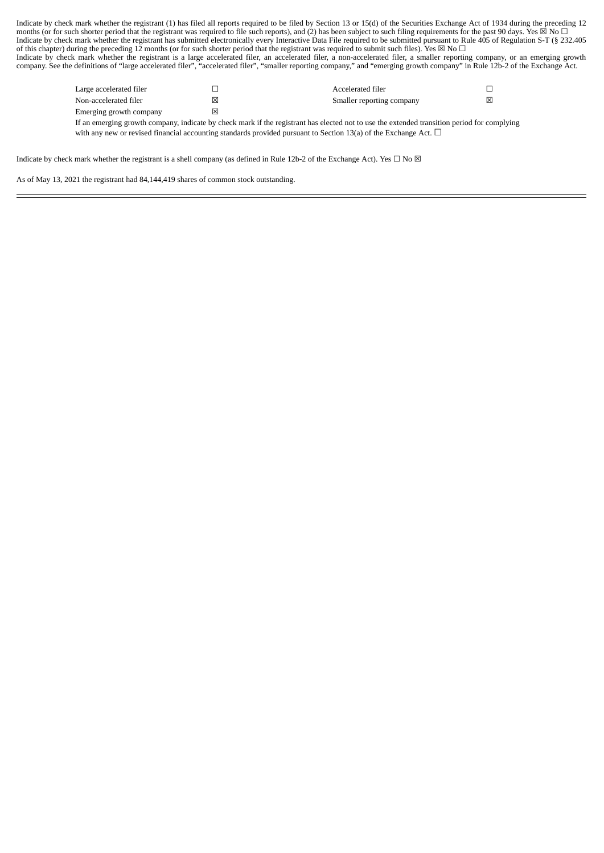Indicate by check mark whether the registrant (1) has filed all reports required to be filed by Section 13 or 15(d) of the Securities Exchange Act of 1934 during the preceding 12 months (or for such shorter period that the registrant was required to file such reports), and (2) has been subject to such filing requirements for the past 90 days. Yes  $\boxtimes$  No  $\Box$ Indicate by check mark whether the registrant has submitted electronically every Interactive Data File required to be submitted pursuant to Rule 405 of Regulation S-T (§ 232.405 of this chapter) during the preceding 12 months (or for such shorter period that the registrant was required to submit such files). Yes ⊠ No  $\Box$ Indicate by check mark whether the registrant is a large accelerated filer, an accelerated filer, a non-accelerated filer, a smaller reporting company, or an emerging growth company. See the definitions of "large accelerated filer", "accelerated filer", "smaller reporting company," and "emerging growth company" in Rule 12b-2 of the Exchange Act.

| Large accelerated filer |   | Accelerated filer         |   |
|-------------------------|---|---------------------------|---|
| Non-accelerated filer   | ⊠ | Smaller reporting company | ⊠ |
| Emerging growth company | ⊠ |                           |   |

If an emerging growth company, indicate by check mark if the registrant has elected not to use the extended transition period for complying with any new or revised financial accounting standards provided pursuant to Section 13(a) of the Exchange Act. □

Indicate by check mark whether the registrant is a shell company (as defined in Rule 12b-2 of the Exchange Act). Yes  $\Box$  No  $\boxtimes$ 

<span id="page-1-0"></span>As of May 13, 2021 the registrant had 84,144,419 shares of common stock outstanding.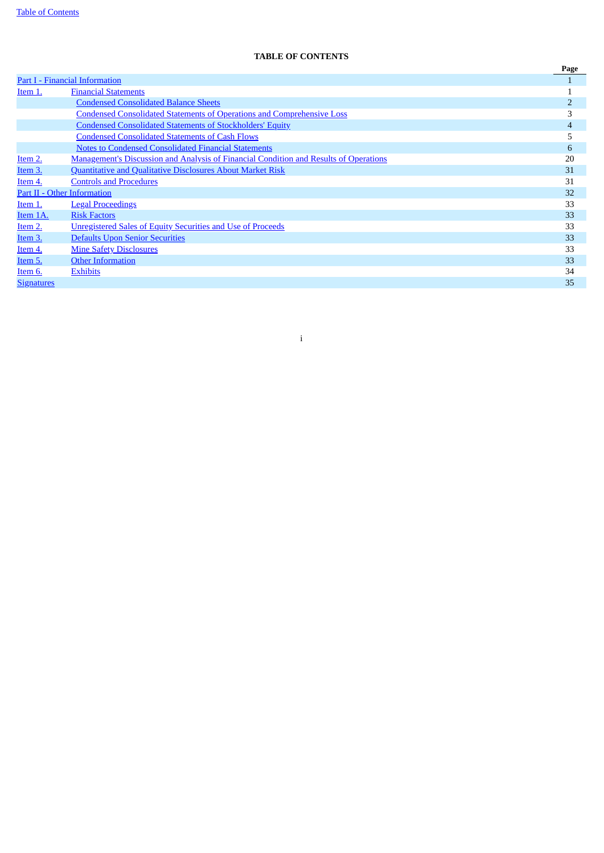## **TABLE OF CONTENTS**

|                   |                                                                                              | Page           |
|-------------------|----------------------------------------------------------------------------------------------|----------------|
|                   | Part I - Financial Information                                                               |                |
| Item 1.           | <b>Financial Statements</b>                                                                  |                |
|                   | <b>Condensed Consolidated Balance Sheets</b>                                                 | $\overline{2}$ |
|                   | <b>Condensed Consolidated Statements of Operations and Comprehensive Loss</b>                | 3              |
|                   | <b>Condensed Consolidated Statements of Stockholders' Equity</b>                             | $\overline{4}$ |
|                   | <b>Condensed Consolidated Statements of Cash Flows</b>                                       | 5              |
|                   | <b>Notes to Condensed Consolidated Financial Statements</b>                                  | 6              |
| Item 2.           | <b>Management's Discussion and Analysis of Financial Condition and Results of Operations</b> | 20             |
| Item 3.           | Quantitative and Qualitative Disclosures About Market Risk                                   | 31             |
| Item 4.           | <b>Controls and Procedures</b>                                                               | 31             |
|                   | Part II - Other Information                                                                  | 32             |
| Item 1.           | <b>Legal Proceedings</b>                                                                     | 33             |
| Item 1A.          | <b>Risk Factors</b>                                                                          | 33             |
| Item 2.           | <b>Unregistered Sales of Equity Securities and Use of Proceeds</b>                           | 33             |
| Item 3.           | <b>Defaults Upon Senior Securities</b>                                                       | 33             |
| Item 4.           | <b>Mine Safety Disclosures</b>                                                               | 33             |
| Item 5.           | <b>Other Information</b>                                                                     | 33             |
| Item 6.           | <b>Exhibits</b>                                                                              | 34             |
| <b>Signatures</b> |                                                                                              | 35             |
|                   |                                                                                              |                |

i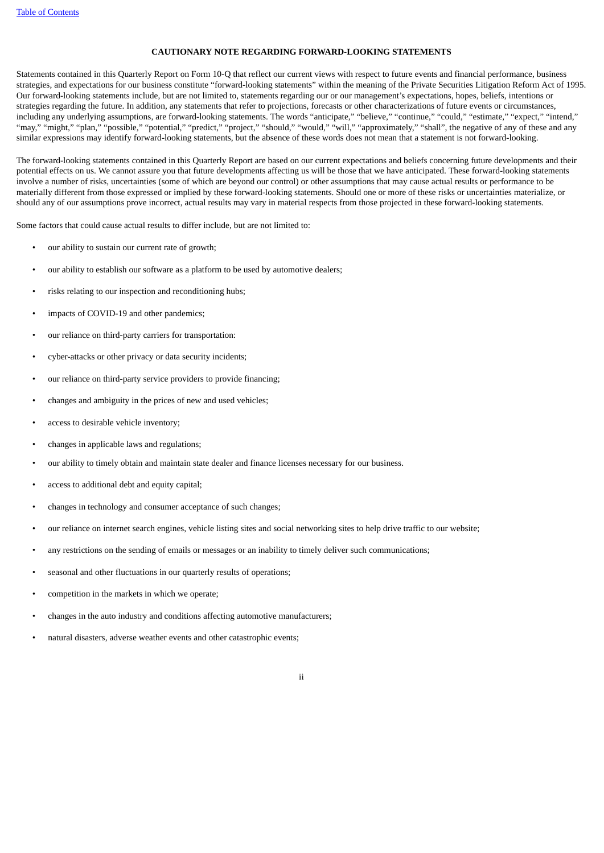## **CAUTIONARY NOTE REGARDING FORWARD-LOOKING STATEMENTS**

Statements contained in this Quarterly Report on Form 10-Q that reflect our current views with respect to future events and financial performance, business strategies, and expectations for our business constitute "forward-looking statements" within the meaning of the Private Securities Litigation Reform Act of 1995. Our forward-looking statements include, but are not limited to, statements regarding our or our management's expectations, hopes, beliefs, intentions or strategies regarding the future. In addition, any statements that refer to projections, forecasts or other characterizations of future events or circumstances, including any underlying assumptions, are forward-looking statements. The words "anticipate," "believe," "continue," "could," "estimate," "expect," "intend," "may," "might," "plan," "possible," "potential," "predict," "project," "should," "would," "will," "approximately," "shall", the negative of any of these and any similar expressions may identify forward-looking statements, but the absence of these words does not mean that a statement is not forward-looking.

The forward-looking statements contained in this Quarterly Report are based on our current expectations and beliefs concerning future developments and their potential effects on us. We cannot assure you that future developments affecting us will be those that we have anticipated. These forward-looking statements involve a number of risks, uncertainties (some of which are beyond our control) or other assumptions that may cause actual results or performance to be materially different from those expressed or implied by these forward-looking statements. Should one or more of these risks or uncertainties materialize, or should any of our assumptions prove incorrect, actual results may vary in material respects from those projected in these forward-looking statements.

Some factors that could cause actual results to differ include, but are not limited to:

- our ability to sustain our current rate of growth;
- our ability to establish our software as a platform to be used by automotive dealers;
- risks relating to our inspection and reconditioning hubs;
- impacts of COVID-19 and other pandemics;
- our reliance on third-party carriers for transportation:
- cyber-attacks or other privacy or data security incidents;
- our reliance on third-party service providers to provide financing;
- changes and ambiguity in the prices of new and used vehicles;
- access to desirable vehicle inventory;
- changes in applicable laws and regulations;
- our ability to timely obtain and maintain state dealer and finance licenses necessary for our business.
- access to additional debt and equity capital;
- changes in technology and consumer acceptance of such changes;
- our reliance on internet search engines, vehicle listing sites and social networking sites to help drive traffic to our website;
- any restrictions on the sending of emails or messages or an inability to timely deliver such communications;
- seasonal and other fluctuations in our quarterly results of operations;
- competition in the markets in which we operate;
- changes in the auto industry and conditions affecting automotive manufacturers;
- natural disasters, adverse weather events and other catastrophic events;
	- ii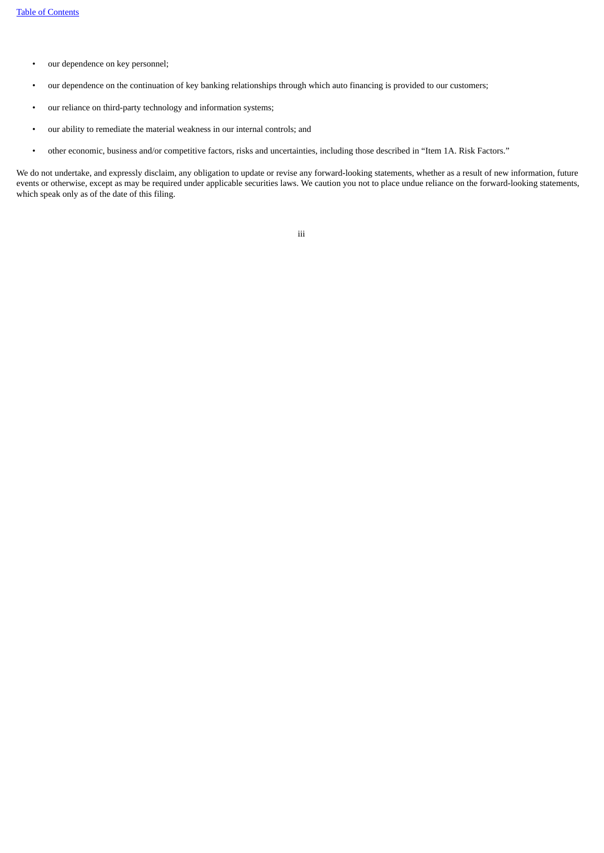- our dependence on key personnel;
- our dependence on the continuation of key banking relationships through which auto financing is provided to our customers;
- our reliance on third-party technology and information systems;
- our ability to remediate the material weakness in our internal controls; and
- other economic, business and/or competitive factors, risks and uncertainties, including those described in "Item 1A. Risk Factors."

<span id="page-4-0"></span>We do not undertake, and expressly disclaim, any obligation to update or revise any forward-looking statements, whether as a result of new information, future events or otherwise, except as may be required under applicable securities laws. We caution you not to place undue reliance on the forward-looking statements, which speak only as of the date of this filing.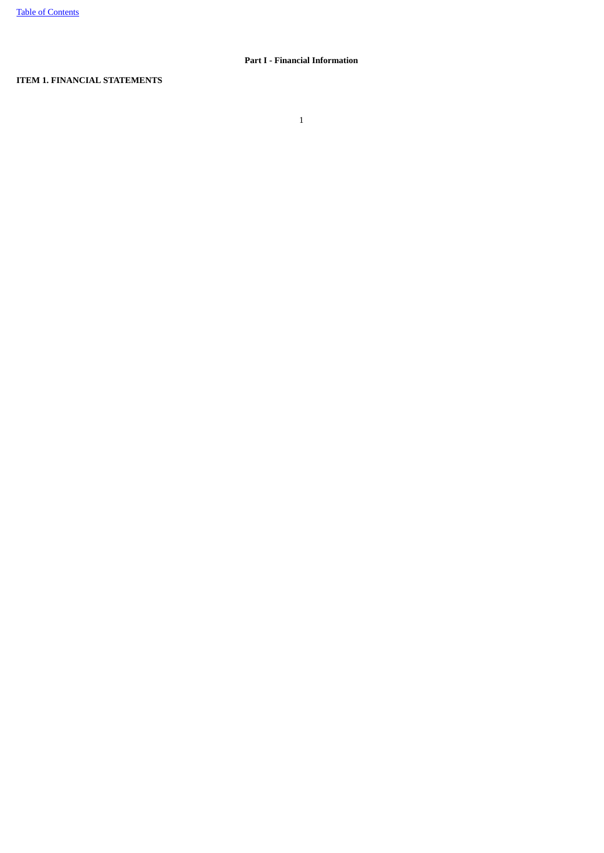## **Part I - Financial Information**

## <span id="page-5-0"></span>**ITEM 1. FINANCIAL STATEMENTS**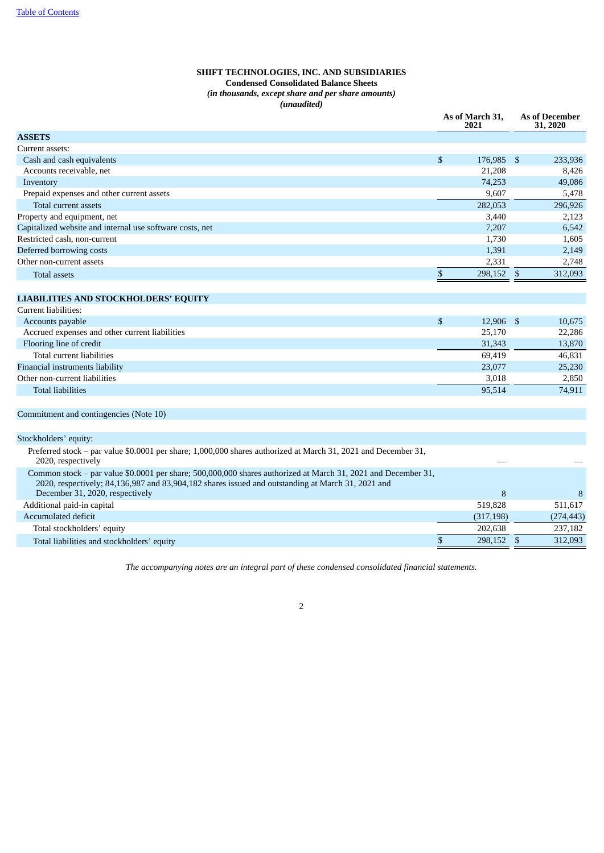## **SHIFT TECHNOLOGIES, INC. AND SUBSIDIARIES Condensed Consolidated Balance Sheets** *(in thousands, except share and per share amounts) (unaudited)*

<span id="page-6-0"></span>

|                                                                                                                                                                                                                    |                    | As of March 31,<br>2021 | <b>As of December</b><br>31, 2020 |            |  |
|--------------------------------------------------------------------------------------------------------------------------------------------------------------------------------------------------------------------|--------------------|-------------------------|-----------------------------------|------------|--|
| <b>ASSETS</b>                                                                                                                                                                                                      |                    |                         |                                   |            |  |
| Current assets:                                                                                                                                                                                                    |                    |                         |                                   |            |  |
| Cash and cash equivalents                                                                                                                                                                                          | \$                 | 176,985 \$              |                                   | 233,936    |  |
| Accounts receivable, net                                                                                                                                                                                           |                    | 21,208                  |                                   | 8,426      |  |
| Inventory                                                                                                                                                                                                          |                    | 74,253                  |                                   | 49,086     |  |
| Prepaid expenses and other current assets                                                                                                                                                                          |                    | 9,607                   |                                   | 5,478      |  |
| Total current assets                                                                                                                                                                                               |                    | 282,053                 |                                   | 296,926    |  |
| Property and equipment, net                                                                                                                                                                                        |                    | 3,440                   |                                   | 2,123      |  |
| Capitalized website and internal use software costs, net                                                                                                                                                           |                    | 7,207                   |                                   | 6,542      |  |
| Restricted cash, non-current                                                                                                                                                                                       |                    | 1,730                   |                                   | 1,605      |  |
| Deferred borrowing costs                                                                                                                                                                                           |                    | 1,391                   |                                   | 2,149      |  |
| Other non-current assets                                                                                                                                                                                           |                    | 2,331                   |                                   | 2,748      |  |
| <b>Total assets</b>                                                                                                                                                                                                | \$                 | 298,152 \$              |                                   | 312,093    |  |
|                                                                                                                                                                                                                    |                    |                         |                                   |            |  |
| <b>LIABILITIES AND STOCKHOLDERS' EQUITY</b>                                                                                                                                                                        |                    |                         |                                   |            |  |
| Current liabilities:                                                                                                                                                                                               |                    |                         |                                   |            |  |
| Accounts payable                                                                                                                                                                                                   | $\mathbf{\hat{S}}$ | 12,906 \$               |                                   | 10,675     |  |
| Accrued expenses and other current liabilities                                                                                                                                                                     |                    | 25,170                  |                                   | 22,286     |  |
| Flooring line of credit                                                                                                                                                                                            |                    | 31,343                  |                                   | 13,870     |  |
| Total current liabilities                                                                                                                                                                                          |                    | 69,419                  |                                   | 46,831     |  |
| Financial instruments liability                                                                                                                                                                                    |                    | 23,077                  |                                   | 25,230     |  |
| Other non-current liabilities                                                                                                                                                                                      |                    | 3,018                   |                                   | 2,850      |  |
| <b>Total liabilities</b>                                                                                                                                                                                           |                    | 95,514                  |                                   | 74,911     |  |
|                                                                                                                                                                                                                    |                    |                         |                                   |            |  |
| Commitment and contingencies (Note 10)                                                                                                                                                                             |                    |                         |                                   |            |  |
| Stockholders' equity:                                                                                                                                                                                              |                    |                         |                                   |            |  |
| Preferred stock - par value \$0.0001 per share; 1,000,000 shares authorized at March 31, 2021 and December 31,                                                                                                     |                    |                         |                                   |            |  |
| 2020, respectively                                                                                                                                                                                                 |                    |                         |                                   |            |  |
| Common stock – par value \$0.0001 per share; 500,000,000 shares authorized at March 31, 2021 and December 31,<br>2020, respectively; 84,136,987 and 83,904,182 shares issued and outstanding at March 31, 2021 and |                    |                         |                                   |            |  |
| December 31, 2020, respectively                                                                                                                                                                                    |                    | 8                       |                                   | 8          |  |
| Additional paid-in capital                                                                                                                                                                                         |                    | 519,828                 |                                   | 511,617    |  |
| Accumulated deficit                                                                                                                                                                                                |                    | (317, 198)              |                                   | (274, 443) |  |
| Total stockholders' equity                                                                                                                                                                                         |                    | 202,638                 |                                   | 237,182    |  |
| Total liabilities and stockholders' equity                                                                                                                                                                         | \$                 | 298,152 \$              |                                   | 312,093    |  |

<span id="page-6-1"></span>*The accompanying notes are an integral part of these condensed consolidated financial statements.*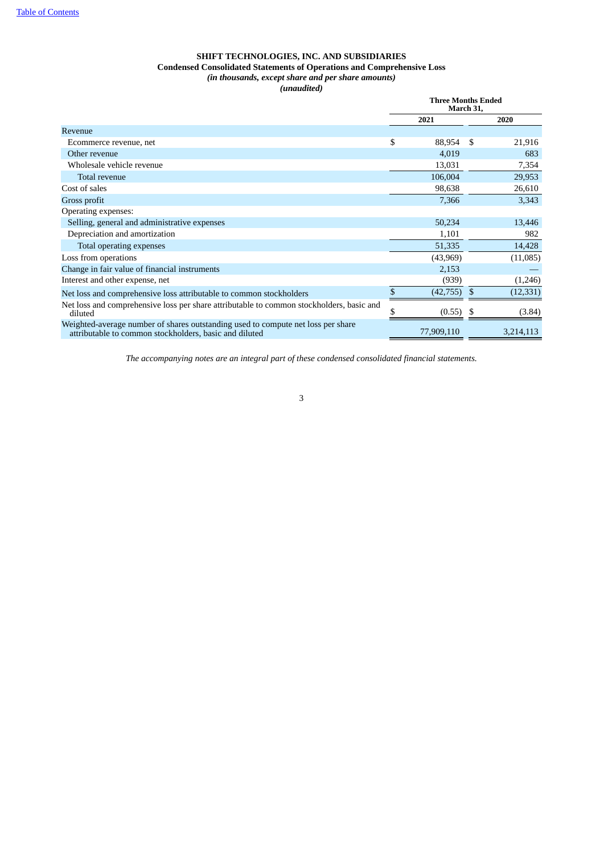## **SHIFT TECHNOLOGIES, INC. AND SUBSIDIARIES Condensed Consolidated Statements of Operations and Comprehensive Loss** *(in thousands, except share and per share amounts) (unaudited)*

|                                                                                                                                            |    | <b>Three Months Ended</b><br>March 31, |     |           |
|--------------------------------------------------------------------------------------------------------------------------------------------|----|----------------------------------------|-----|-----------|
|                                                                                                                                            |    | 2021                                   |     | 2020      |
| Revenue                                                                                                                                    |    |                                        |     |           |
| Ecommerce revenue, net                                                                                                                     | \$ | 88,954                                 | -\$ | 21,916    |
| Other revenue                                                                                                                              |    | 4,019                                  |     | 683       |
| Wholesale vehicle revenue                                                                                                                  |    | 13,031                                 |     | 7,354     |
| Total revenue                                                                                                                              |    | 106,004                                |     | 29,953    |
| Cost of sales                                                                                                                              |    | 98,638                                 |     | 26,610    |
| Gross profit                                                                                                                               |    | 7,366                                  |     | 3,343     |
| Operating expenses:                                                                                                                        |    |                                        |     |           |
| Selling, general and administrative expenses                                                                                               |    | 50,234                                 |     | 13,446    |
| Depreciation and amortization                                                                                                              |    | 1,101                                  |     | 982       |
| Total operating expenses                                                                                                                   |    | 51,335                                 |     | 14,428    |
| Loss from operations                                                                                                                       |    | (43,969)                               |     | (11,085)  |
| Change in fair value of financial instruments                                                                                              |    | 2,153                                  |     |           |
| Interest and other expense, net                                                                                                            |    | (939)                                  |     | (1,246)   |
| Net loss and comprehensive loss attributable to common stockholders                                                                        | \$ | (42, 755)                              | \$  | (12, 331) |
| Net loss and comprehensive loss per share attributable to common stockholders, basic and<br>diluted                                        |    | (0.55)                                 |     | (3.84)    |
| Weighted-average number of shares outstanding used to compute net loss per share<br>attributable to common stockholders, basic and diluted |    | 77,909,110                             |     | 3,214,113 |

<span id="page-7-0"></span>*The accompanying notes are an integral part of these condensed consolidated financial statements.*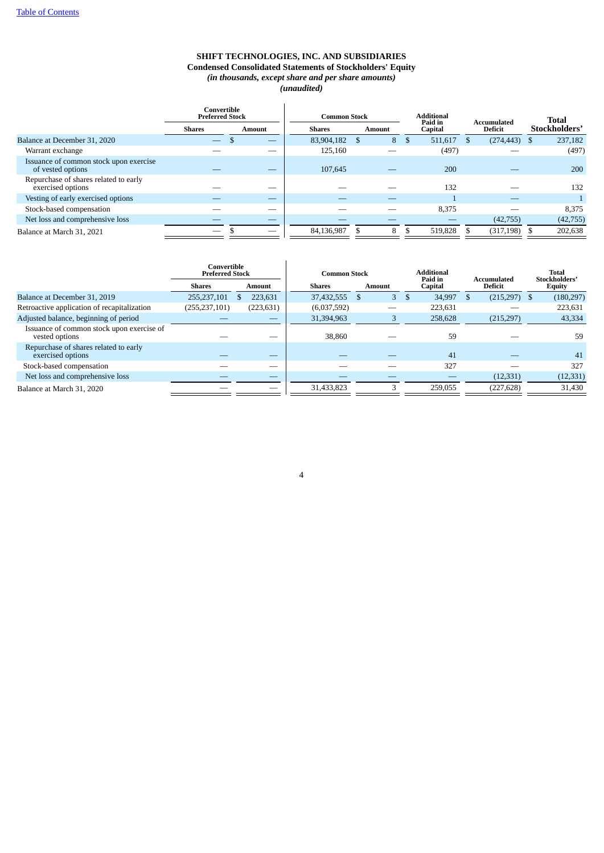## **SHIFT TECHNOLOGIES, INC. AND SUBSIDIARIES Condensed Consolidated Statements of Stockholders' Equity** *(in thousands, except share and per share amounts) (unaudited)*

|                                                             | Convertible<br><b>Preferred Stock</b> |        | <b>Common Stock</b> |  |               |     |                |  | <b>Additional</b> |  | Paid in<br>Capital |  |  |  |  |  |  |  |  |  |  |  | Accumulated |  | <b>Total</b> |
|-------------------------------------------------------------|---------------------------------------|--------|---------------------|--|---------------|-----|----------------|--|-------------------|--|--------------------|--|--|--|--|--|--|--|--|--|--|--|-------------|--|--------------|
|                                                             | <b>Shares</b>                         | Amount | Shares              |  | <b>Amount</b> |     | <b>Deficit</b> |  | Stockholders'     |  |                    |  |  |  |  |  |  |  |  |  |  |  |             |  |              |
| Balance at December 31, 2020                                |                                       |        | 83,904,182          |  | 8             | \$. | 511,617        |  | (274, 443)        |  | 237,182            |  |  |  |  |  |  |  |  |  |  |  |             |  |              |
| Warrant exchange                                            |                                       |        | 125.160             |  |               |     | (497)          |  |                   |  | (497)              |  |  |  |  |  |  |  |  |  |  |  |             |  |              |
| Issuance of common stock upon exercise<br>of vested options |                                       | _      | 107,645             |  |               |     | 200            |  |                   |  | 200                |  |  |  |  |  |  |  |  |  |  |  |             |  |              |
| Repurchase of shares related to early<br>exercised options  |                                       | _      |                     |  |               |     | 132            |  |                   |  | 132                |  |  |  |  |  |  |  |  |  |  |  |             |  |              |
| Vesting of early exercised options                          |                                       | _      |                     |  |               |     |                |  |                   |  |                    |  |  |  |  |  |  |  |  |  |  |  |             |  |              |
| Stock-based compensation                                    |                                       | _      |                     |  |               |     | 8,375          |  |                   |  | 8,375              |  |  |  |  |  |  |  |  |  |  |  |             |  |              |
| Net loss and comprehensive loss                             |                                       |        |                     |  |               |     |                |  | (42, 755)         |  | (42, 755)          |  |  |  |  |  |  |  |  |  |  |  |             |  |              |
| Balance at March 31, 2021                                   |                                       | _      | 84,136,987          |  | 8             |     | 519,828        |  | (317, 198)        |  | 202,638            |  |  |  |  |  |  |  |  |  |  |  |             |  |              |

<span id="page-8-0"></span>

|                                                             | Convertible<br><b>Preferred Stock</b> |            | <b>Common Stock</b> |        | <b>Additional</b><br>Paid in | Accumulated    | Total<br>Stockholders' |
|-------------------------------------------------------------|---------------------------------------|------------|---------------------|--------|------------------------------|----------------|------------------------|
|                                                             | Shares                                | Amount     | <b>Shares</b>       | Amount | Capital                      | <b>Deficit</b> | <b>Equity</b>          |
| Balance at December 31, 2019                                | 255,237,101                           | 223.631    | 37,432,555          | 3<br>S | 34,997<br>- 5                | $(215,297)$ \$ | (180, 297)             |
| Retroactive application of recapitalization                 | (255, 237, 101)                       | (223, 631) | (6,037,592)         |        | 223,631                      |                | 223,631                |
| Adjusted balance, beginning of period                       |                                       |            | 31,394,963          |        | 258,628                      | (215, 297)     | 43,334                 |
| Issuance of common stock upon exercise of<br>vested options |                                       |            | 38,860              |        | 59                           |                | 59                     |
| Repurchase of shares related to early<br>exercised options  |                                       | _          |                     |        | 41                           |                | 41                     |
| Stock-based compensation                                    |                                       |            |                     |        | 327                          |                | 327                    |
| Net loss and comprehensive loss                             |                                       |            |                     |        |                              | (12, 331)      | (12, 331)              |
| Balance at March 31, 2020                                   |                                       |            | 31,433,823          |        | 259.055                      | (227, 628)     | 31,430                 |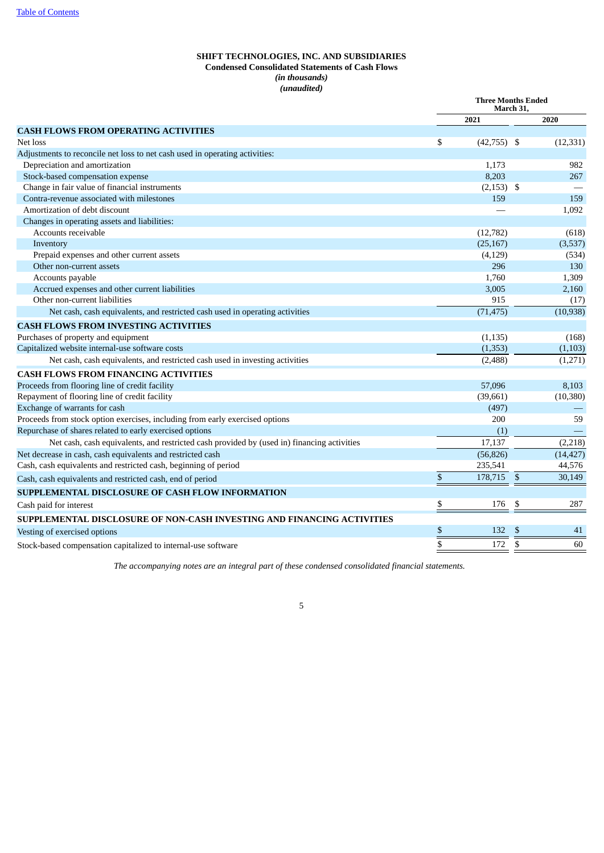## **SHIFT TECHNOLOGIES, INC. AND SUBSIDIARIES Condensed Consolidated Statements of Cash Flows** *(in thousands) (unaudited)*

|                                                                                            | <b>Three Months Ended</b><br>March 31, |               |                          |           |
|--------------------------------------------------------------------------------------------|----------------------------------------|---------------|--------------------------|-----------|
|                                                                                            |                                        | 2021          |                          | 2020      |
| <b>CASH FLOWS FROM OPERATING ACTIVITIES</b>                                                |                                        |               |                          |           |
| Net loss                                                                                   | \$                                     | $(42,755)$ \$ |                          | (12, 331) |
| Adjustments to reconcile net loss to net cash used in operating activities:                |                                        |               |                          |           |
| Depreciation and amortization                                                              |                                        | 1.173         |                          | 982       |
| Stock-based compensation expense                                                           |                                        | 8,203         |                          | 267       |
| Change in fair value of financial instruments                                              |                                        | $(2,153)$ \$  |                          |           |
| Contra-revenue associated with milestones                                                  |                                        | 159           |                          | 159       |
| Amortization of debt discount                                                              |                                        |               |                          | 1,092     |
| Changes in operating assets and liabilities:                                               |                                        |               |                          |           |
| Accounts receivable                                                                        |                                        | (12,782)      |                          | (618)     |
| Inventory                                                                                  |                                        | (25, 167)     |                          | (3,537)   |
| Prepaid expenses and other current assets                                                  |                                        | (4, 129)      |                          | (534)     |
| Other non-current assets                                                                   |                                        | 296           |                          | 130       |
| Accounts payable                                                                           |                                        | 1,760         |                          | 1,309     |
| Accrued expenses and other current liabilities                                             |                                        | 3,005         |                          | 2,160     |
| Other non-current liabilities                                                              |                                        | 915           |                          | (17)      |
| Net cash, cash equivalents, and restricted cash used in operating activities               |                                        | (71, 475)     |                          | (10, 938) |
| <b>CASH FLOWS FROM INVESTING ACTIVITIES</b>                                                |                                        |               |                          |           |
| Purchases of property and equipment                                                        |                                        | (1, 135)      |                          | (168)     |
| Capitalized website internal-use software costs                                            |                                        | (1,353)       |                          | (1,103)   |
| Net cash, cash equivalents, and restricted cash used in investing activities               |                                        | (2,488)       |                          | (1,271)   |
| <b>CASH FLOWS FROM FINANCING ACTIVITIES</b>                                                |                                        |               |                          |           |
| Proceeds from flooring line of credit facility                                             |                                        | 57,096        |                          | 8,103     |
| Repayment of flooring line of credit facility                                              |                                        | (39,661)      |                          | (10, 380) |
| Exchange of warrants for cash                                                              |                                        | (497)         |                          |           |
| Proceeds from stock option exercises, including from early exercised options               |                                        | 200           |                          | 59        |
| Repurchase of shares related to early exercised options                                    |                                        | (1)           |                          |           |
| Net cash, cash equivalents, and restricted cash provided by (used in) financing activities |                                        | 17,137        |                          | (2,218)   |
| Net decrease in cash, cash equivalents and restricted cash                                 |                                        | (56, 826)     |                          | (14, 427) |
| Cash, cash equivalents and restricted cash, beginning of period                            |                                        | 235,541       |                          | 44,576    |
| Cash, cash equivalents and restricted cash, end of period                                  | \$                                     | 178,715       | $\mathbb{S}$             | 30,149    |
| SUPPLEMENTAL DISCLOSURE OF CASH FLOW INFORMATION                                           |                                        |               |                          |           |
| Cash paid for interest                                                                     | \$                                     | 176           | \$                       | 287       |
| SUPPLEMENTAL DISCLOSURE OF NON-CASH INVESTING AND FINANCING ACTIVITIES                     |                                        |               |                          |           |
| Vesting of exercised options                                                               | \$                                     | 132           | S                        | 41        |
| Stock-based compensation capitalized to internal-use software                              | $\overline{\mathbb{S}}$                | 172           | $\overline{\mathcal{S}}$ | 60        |

<span id="page-9-0"></span>*The accompanying notes are an integral part of these condensed consolidated financial statements.*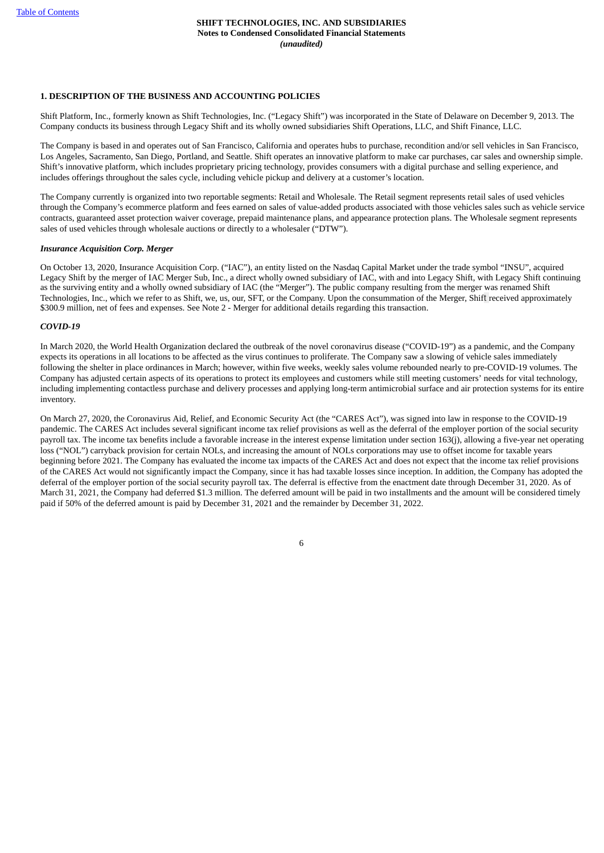## **1. DESCRIPTION OF THE BUSINESS AND ACCOUNTING POLICIES**

Shift Platform, Inc., formerly known as Shift Technologies, Inc. ("Legacy Shift") was incorporated in the State of Delaware on December 9, 2013. The Company conducts its business through Legacy Shift and its wholly owned subsidiaries Shift Operations, LLC, and Shift Finance, LLC.

The Company is based in and operates out of San Francisco, California and operates hubs to purchase, recondition and/or sell vehicles in San Francisco, Los Angeles, Sacramento, San Diego, Portland, and Seattle. Shift operates an innovative platform to make car purchases, car sales and ownership simple. Shift's innovative platform, which includes proprietary pricing technology, provides consumers with a digital purchase and selling experience, and includes offerings throughout the sales cycle, including vehicle pickup and delivery at a customer's location.

The Company currently is organized into two reportable segments: Retail and Wholesale. The Retail segment represents retail sales of used vehicles through the Company's ecommerce platform and fees earned on sales of value-added products associated with those vehicles sales such as vehicle service contracts, guaranteed asset protection waiver coverage, prepaid maintenance plans, and appearance protection plans. The Wholesale segment represents sales of used vehicles through wholesale auctions or directly to a wholesaler ("DTW").

#### *Insurance Acquisition Corp. Merger*

On October 13, 2020, Insurance Acquisition Corp. ("IAC"), an entity listed on the Nasdaq Capital Market under the trade symbol "INSU", acquired Legacy Shift by the merger of IAC Merger Sub, Inc., a direct wholly owned subsidiary of IAC, with and into Legacy Shift, with Legacy Shift continuing as the surviving entity and a wholly owned subsidiary of IAC (the "Merger"). The public company resulting from the merger was renamed Shift Technologies, Inc., which we refer to as Shift, we, us, our, SFT, or the Company. Upon the consummation of the Merger, Shift received approximately \$300.9 million, net of fees and expenses. See Note 2 - Merger for additional details regarding this transaction.

## *COVID-19*

In March 2020, the World Health Organization declared the outbreak of the novel coronavirus disease ("COVID-19") as a pandemic, and the Company expects its operations in all locations to be affected as the virus continues to proliferate. The Company saw a slowing of vehicle sales immediately following the shelter in place ordinances in March; however, within five weeks, weekly sales volume rebounded nearly to pre-COVID-19 volumes. The Company has adjusted certain aspects of its operations to protect its employees and customers while still meeting customers' needs for vital technology, including implementing contactless purchase and delivery processes and applying long-term antimicrobial surface and air protection systems for its entire inventory.

On March 27, 2020, the Coronavirus Aid, Relief, and Economic Security Act (the "CARES Act"), was signed into law in response to the COVID-19 pandemic. The CARES Act includes several significant income tax relief provisions as well as the deferral of the employer portion of the social security payroll tax. The income tax benefits include a favorable increase in the interest expense limitation under section 163(j), allowing a five-year net operating loss ("NOL") carryback provision for certain NOLs, and increasing the amount of NOLs corporations may use to offset income for taxable years beginning before 2021. The Company has evaluated the income tax impacts of the CARES Act and does not expect that the income tax relief provisions of the CARES Act would not significantly impact the Company, since it has had taxable losses since inception. In addition, the Company has adopted the deferral of the employer portion of the social security payroll tax. The deferral is effective from the enactment date through December 31, 2020. As of March 31, 2021, the Company had deferred \$1.3 million. The deferred amount will be paid in two installments and the amount will be considered timely paid if 50% of the deferred amount is paid by December 31, 2021 and the remainder by December 31, 2022.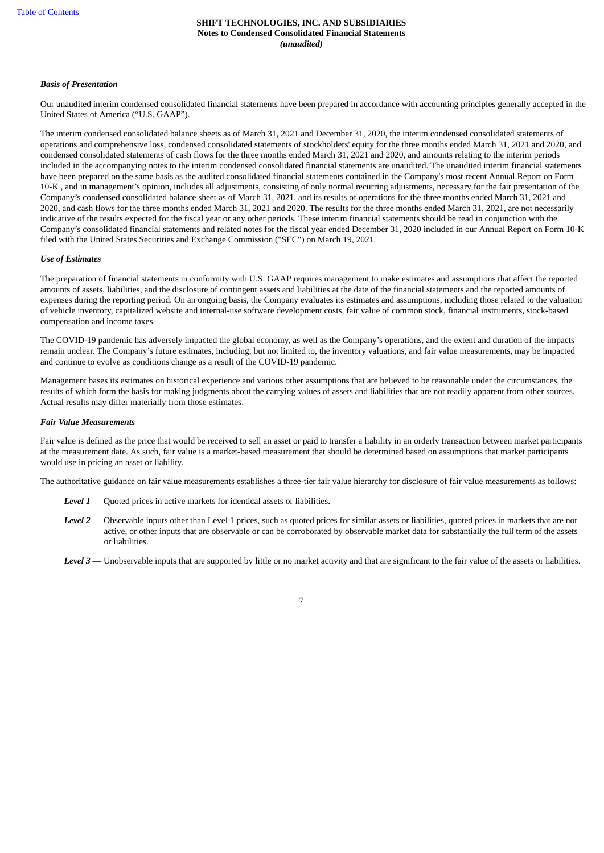#### *Basis of Presentation*

Our unaudited interim condensed consolidated financial statements have been prepared in accordance with accounting principles generally accepted in the United States of America ("U.S. GAAP").

The interim condensed consolidated balance sheets as of March 31, 2021 and December 31, 2020, the interim condensed consolidated statements of operations and comprehensive loss, condensed consolidated statements of stockholders' equity for the three months ended March 31, 2021 and 2020, and condensed consolidated statements of cash flows for the three months ended March 31, 2021 and 2020, and amounts relating to the interim periods included in the accompanying notes to the interim condensed consolidated financial statements are unaudited. The unaudited interim financial statements have been prepared on the same basis as the audited consolidated financial statements contained in the Company's most recent Annual Report on Form 10-K , and in management's opinion, includes all adjustments, consisting of only normal recurring adjustments, necessary for the fair presentation of the Company's condensed consolidated balance sheet as of March 31, 2021, and its results of operations for the three months ended March 31, 2021 and 2020, and cash flows for the three months ended March 31, 2021 and 2020. The results for the three months ended March 31, 2021, are not necessarily indicative of the results expected for the fiscal year or any other periods. These interim financial statements should be read in conjunction with the Company's consolidated financial statements and related notes for the fiscal year ended December 31, 2020 included in our Annual Report on Form 10-K filed with the United States Securities and Exchange Commission ("SEC") on March 19, 2021.

#### *Use of Estimates*

The preparation of financial statements in conformity with U.S. GAAP requires management to make estimates and assumptions that affect the reported amounts of assets, liabilities, and the disclosure of contingent assets and liabilities at the date of the financial statements and the reported amounts of expenses during the reporting period. On an ongoing basis, the Company evaluates its estimates and assumptions, including those related to the valuation of vehicle inventory, capitalized website and internal-use software development costs, fair value of common stock, financial instruments, stock-based compensation and income taxes.

The COVID-19 pandemic has adversely impacted the global economy, as well as the Company's operations, and the extent and duration of the impacts remain unclear. The Company's future estimates, including, but not limited to, the inventory valuations, and fair value measurements, may be impacted and continue to evolve as conditions change as a result of the COVID-19 pandemic.

Management bases its estimates on historical experience and various other assumptions that are believed to be reasonable under the circumstances, the results of which form the basis for making judgments about the carrying values of assets and liabilities that are not readily apparent from other sources. Actual results may differ materially from those estimates.

#### *Fair Value Measurements*

Fair value is defined as the price that would be received to sell an asset or paid to transfer a liability in an orderly transaction between market participants at the measurement date. As such, fair value is a market-based measurement that should be determined based on assumptions that market participants would use in pricing an asset or liability.

The authoritative guidance on fair value measurements establishes a three-tier fair value hierarchy for disclosure of fair value measurements as follows:

- *Level 1* Quoted prices in active markets for identical assets or liabilities.
- *Level 2* Observable inputs other than Level 1 prices, such as quoted prices for similar assets or liabilities, quoted prices in markets that are not active, or other inputs that are observable or can be corroborated by observable market data for substantially the full term of the assets or liabilities.
- *Level 3* Unobservable inputs that are supported by little or no market activity and that are significant to the fair value of the assets or liabilities.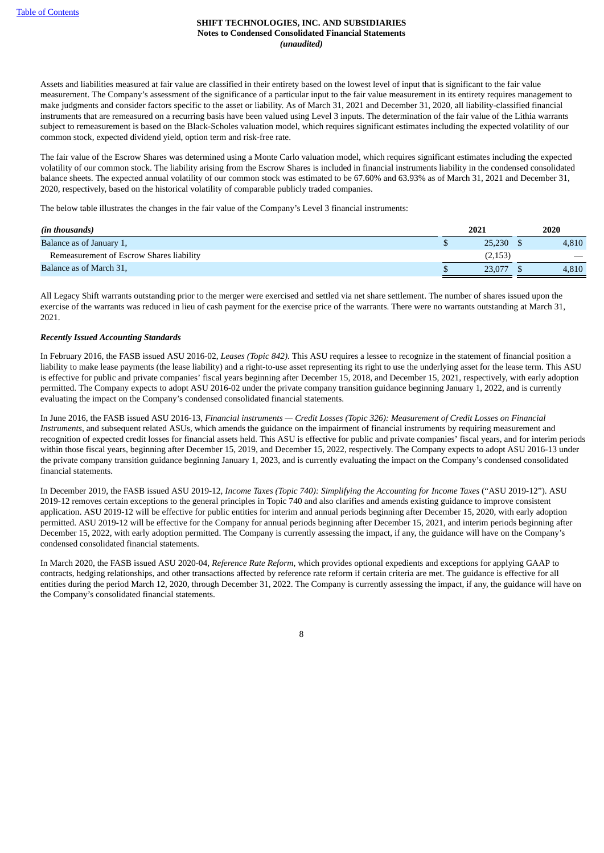Assets and liabilities measured at fair value are classified in their entirety based on the lowest level of input that is significant to the fair value measurement. The Company's assessment of the significance of a particular input to the fair value measurement in its entirety requires management to make judgments and consider factors specific to the asset or liability. As of March 31, 2021 and December 31, 2020, all liability-classified financial instruments that are remeasured on a recurring basis have been valued using Level 3 inputs. The determination of the fair value of the Lithia warrants subject to remeasurement is based on the Black-Scholes valuation model, which requires significant estimates including the expected volatility of our common stock, expected dividend yield, option term and risk-free rate.

The fair value of the Escrow Shares was determined using a Monte Carlo valuation model, which requires significant estimates including the expected volatility of our common stock. The liability arising from the Escrow Shares is included in financial instruments liability in the condensed consolidated balance sheets. The expected annual volatility of our common stock was estimated to be 67.60% and 63.93% as of March 31, 2021 and December 31, 2020, respectively, based on the historical volatility of comparable publicly traded companies.

The below table illustrates the changes in the fair value of the Company's Level 3 financial instruments:

| (in thousands)                           | 2021 |         | 2020  |
|------------------------------------------|------|---------|-------|
| Balance as of January 1,                 |      | 25.230  | 4.810 |
| Remeasurement of Escrow Shares liability |      | (2,153) |       |
| Balance as of March 31,                  |      | 23,077  | 4,810 |

All Legacy Shift warrants outstanding prior to the merger were exercised and settled via net share settlement. The number of shares issued upon the exercise of the warrants was reduced in lieu of cash payment for the exercise price of the warrants. There were no warrants outstanding at March 31, 2021.

## *Recently Issued Accounting Standards*

In February 2016, the FASB issued ASU 2016-02, *Leases (Topic 842).* This ASU requires a lessee to recognize in the statement of financial position a liability to make lease payments (the lease liability) and a right-to-use asset representing its right to use the underlying asset for the lease term. This ASU is effective for public and private companies' fiscal years beginning after December 15, 2018, and December 15, 2021, respectively, with early adoption permitted. The Company expects to adopt ASU 2016-02 under the private company transition guidance beginning January 1, 2022, and is currently evaluating the impact on the Company's condensed consolidated financial statements.

In June 2016, the FASB issued ASU 2016-13, Financial instruments - Credit Losses (Topic 326): Measurement of Credit Losses on Financial *Instruments*, and subsequent related ASUs, which amends the guidance on the impairment of financial instruments by requiring measurement and recognition of expected credit losses for financial assets held. This ASU is effective for public and private companies' fiscal years, and for interim periods within those fiscal years, beginning after December 15, 2019, and December 15, 2022, respectively. The Company expects to adopt ASU 2016-13 under the private company transition guidance beginning January 1, 2023, and is currently evaluating the impact on the Company's condensed consolidated financial statements.

In December 2019, the FASB issued ASU 2019-12, *Income Taxes (Topic 740): Simplifying the Accounting for Income Taxes* ("ASU 2019-12"). ASU 2019-12 removes certain exceptions to the general principles in Topic 740 and also clarifies and amends existing guidance to improve consistent application. ASU 2019-12 will be effective for public entities for interim and annual periods beginning after December 15, 2020, with early adoption permitted. ASU 2019-12 will be effective for the Company for annual periods beginning after December 15, 2021, and interim periods beginning after December 15, 2022, with early adoption permitted. The Company is currently assessing the impact, if any, the guidance will have on the Company's condensed consolidated financial statements.

In March 2020, the FASB issued ASU 2020-04, *Reference Rate Reform*, which provides optional expedients and exceptions for applying GAAP to contracts, hedging relationships, and other transactions affected by reference rate reform if certain criteria are met. The guidance is effective for all entities during the period March 12, 2020, through December 31, 2022. The Company is currently assessing the impact, if any, the guidance will have on the Company's consolidated financial statements.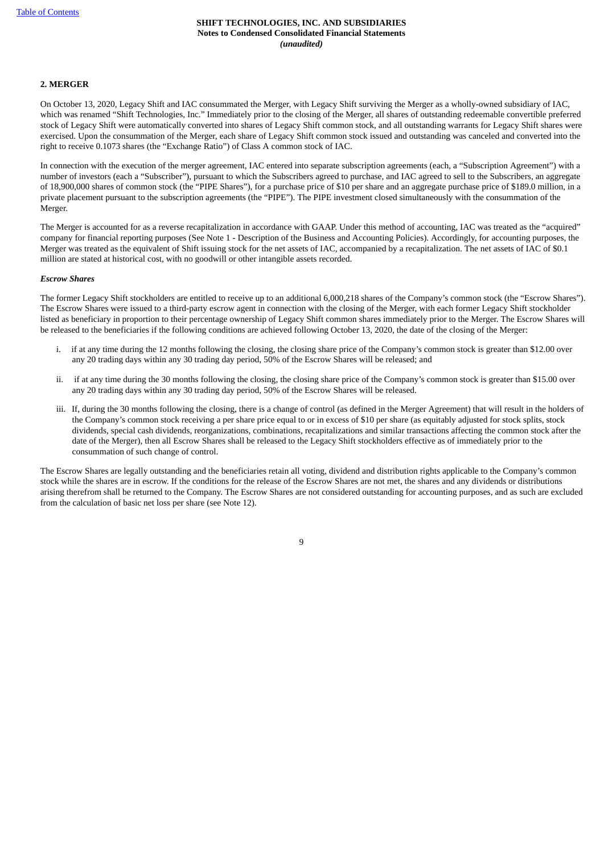## **2. MERGER**

On October 13, 2020, Legacy Shift and IAC consummated the Merger, with Legacy Shift surviving the Merger as a wholly-owned subsidiary of IAC, which was renamed "Shift Technologies, Inc." Immediately prior to the closing of the Merger, all shares of outstanding redeemable convertible preferred stock of Legacy Shift were automatically converted into shares of Legacy Shift common stock, and all outstanding warrants for Legacy Shift shares were exercised. Upon the consummation of the Merger, each share of Legacy Shift common stock issued and outstanding was canceled and converted into the right to receive 0.1073 shares (the "Exchange Ratio") of Class A common stock of IAC.

In connection with the execution of the merger agreement, IAC entered into separate subscription agreements (each, a "Subscription Agreement") with a number of investors (each a "Subscriber"), pursuant to which the Subscribers agreed to purchase, and IAC agreed to sell to the Subscribers, an aggregate of 18,900,000 shares of common stock (the "PIPE Shares"), for a purchase price of \$10 per share and an aggregate purchase price of \$189.0 million, in a private placement pursuant to the subscription agreements (the "PIPE"). The PIPE investment closed simultaneously with the consummation of the Merger.

The Merger is accounted for as a reverse recapitalization in accordance with GAAP. Under this method of accounting, IAC was treated as the "acquired" company for financial reporting purposes (See Note 1 - Description of the Business and Accounting Policies). Accordingly, for accounting purposes, the Merger was treated as the equivalent of Shift issuing stock for the net assets of IAC, accompanied by a recapitalization. The net assets of IAC of \$0.1 million are stated at historical cost, with no goodwill or other intangible assets recorded.

#### *Escrow Shares*

The former Legacy Shift stockholders are entitled to receive up to an additional 6,000,218 shares of the Company's common stock (the "Escrow Shares"). The Escrow Shares were issued to a third-party escrow agent in connection with the closing of the Merger, with each former Legacy Shift stockholder listed as beneficiary in proportion to their percentage ownership of Legacy Shift common shares immediately prior to the Merger. The Escrow Shares will be released to the beneficiaries if the following conditions are achieved following October 13, 2020, the date of the closing of the Merger:

- i. if at any time during the 12 months following the closing, the closing share price of the Company's common stock is greater than \$12.00 over any 20 trading days within any 30 trading day period, 50% of the Escrow Shares will be released; and
- ii. if at any time during the 30 months following the closing, the closing share price of the Company's common stock is greater than \$15.00 over any 20 trading days within any 30 trading day period, 50% of the Escrow Shares will be released.
- iii. If, during the 30 months following the closing, there is a change of control (as defined in the Merger Agreement) that will result in the holders of the Company's common stock receiving a per share price equal to or in excess of \$10 per share (as equitably adjusted for stock splits, stock dividends, special cash dividends, reorganizations, combinations, recapitalizations and similar transactions affecting the common stock after the date of the Merger), then all Escrow Shares shall be released to the Legacy Shift stockholders effective as of immediately prior to the consummation of such change of control.

The Escrow Shares are legally outstanding and the beneficiaries retain all voting, dividend and distribution rights applicable to the Company's common stock while the shares are in escrow. If the conditions for the release of the Escrow Shares are not met, the shares and any dividends or distributions arising therefrom shall be returned to the Company. The Escrow Shares are not considered outstanding for accounting purposes, and as such are excluded from the calculation of basic net loss per share (see Note 12).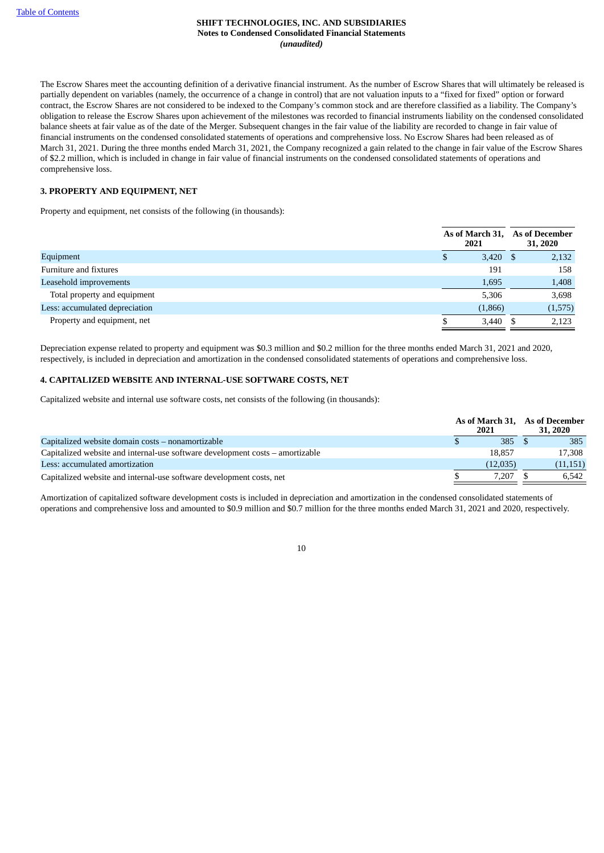The Escrow Shares meet the accounting definition of a derivative financial instrument. As the number of Escrow Shares that will ultimately be released is partially dependent on variables (namely, the occurrence of a change in control) that are not valuation inputs to a "fixed for fixed" option or forward contract, the Escrow Shares are not considered to be indexed to the Company's common stock and are therefore classified as a liability. The Company's obligation to release the Escrow Shares upon achievement of the milestones was recorded to financial instruments liability on the condensed consolidated balance sheets at fair value as of the date of the Merger. Subsequent changes in the fair value of the liability are recorded to change in fair value of financial instruments on the condensed consolidated statements of operations and comprehensive loss. No Escrow Shares had been released as of March 31, 2021. During the three months ended March 31, 2021, the Company recognized a gain related to the change in fair value of the Escrow Shares of \$2.2 million, which is included in change in fair value of financial instruments on the condensed consolidated statements of operations and comprehensive loss.

## **3. PROPERTY AND EQUIPMENT, NET**

Property and equipment, net consists of the following (in thousands):

|                                | As of March 31, As of December<br>2021 | 31, 2020 |
|--------------------------------|----------------------------------------|----------|
| Equipment                      | $3,420$ \$<br>S.                       | 2,132    |
| Furniture and fixtures         | 191                                    | 158      |
| Leasehold improvements         | 1,695                                  | 1,408    |
| Total property and equipment   | 5,306                                  | 3,698    |
| Less: accumulated depreciation | (1,866)                                | (1,575)  |
| Property and equipment, net    | $3,440$ \$                             | 2,123    |

Depreciation expense related to property and equipment was \$0.3 million and \$0.2 million for the three months ended March 31, 2021 and 2020, respectively, is included in depreciation and amortization in the condensed consolidated statements of operations and comprehensive loss.

## **4. CAPITALIZED WEBSITE AND INTERNAL-USE SOFTWARE COSTS, NET**

Capitalized website and internal use software costs, net consists of the following (in thousands):

|                                                                               | 2021     | As of March 31, As of December<br>31, 2020 |
|-------------------------------------------------------------------------------|----------|--------------------------------------------|
| Capitalized website domain costs – nonamortizable                             | 385      | 385                                        |
| Capitalized website and internal-use software development costs – amortizable | 18.857   | 17.308                                     |
| Less: accumulated amortization                                                | (12,035) | (11, 151)                                  |
| Capitalized website and internal-use software development costs, net          | 7.207    | 6.542                                      |

Amortization of capitalized software development costs is included in depreciation and amortization in the condensed consolidated statements of operations and comprehensive loss and amounted to \$0.9 million and \$0.7 million for the three months ended March 31, 2021 and 2020, respectively.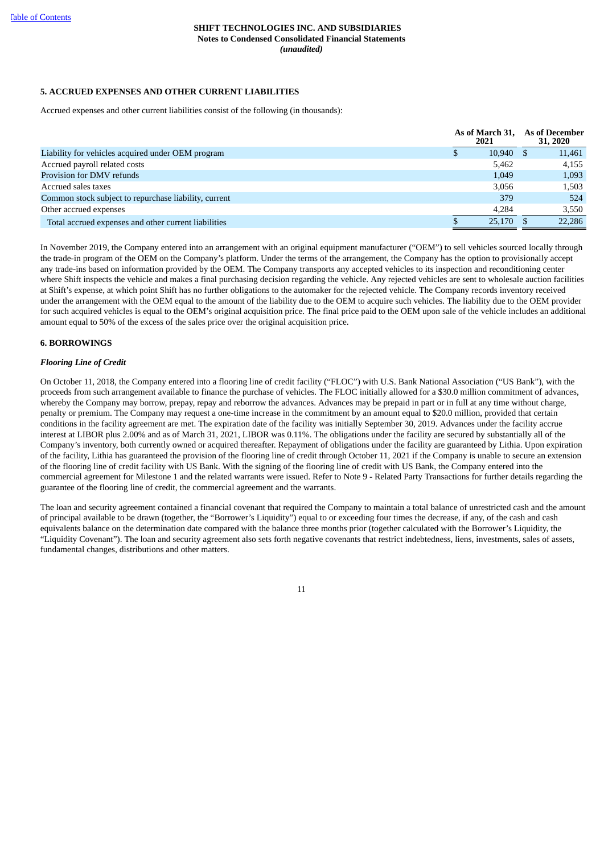## **5. ACCRUED EXPENSES AND OTHER CURRENT LIABILITIES**

Accrued expenses and other current liabilities consist of the following (in thousands):

|                                                       | As of March 31.<br>2021 | <b>As of December</b><br>31, 2020 |
|-------------------------------------------------------|-------------------------|-----------------------------------|
| Liability for vehicles acquired under OEM program     | 10.940                  | 11,461                            |
| Accrued payroll related costs                         | 5.462                   | 4,155                             |
| Provision for DMV refunds                             | 1,049                   | 1,093                             |
| Accrued sales taxes                                   | 3.056                   | 1.503                             |
| Common stock subject to repurchase liability, current | 379                     | 524                               |
| Other accrued expenses                                | 4.284                   | 3,550                             |
| Total accrued expenses and other current liabilities  | 25.170                  | 22,286                            |

In November 2019, the Company entered into an arrangement with an original equipment manufacturer ("OEM") to sell vehicles sourced locally through the trade-in program of the OEM on the Company's platform. Under the terms of the arrangement, the Company has the option to provisionally accept any trade-ins based on information provided by the OEM. The Company transports any accepted vehicles to its inspection and reconditioning center where Shift inspects the vehicle and makes a final purchasing decision regarding the vehicle. Any rejected vehicles are sent to wholesale auction facilities at Shift's expense, at which point Shift has no further obligations to the automaker for the rejected vehicle. The Company records inventory received under the arrangement with the OEM equal to the amount of the liability due to the OEM to acquire such vehicles. The liability due to the OEM provider for such acquired vehicles is equal to the OEM's original acquisition price. The final price paid to the OEM upon sale of the vehicle includes an additional amount equal to 50% of the excess of the sales price over the original acquisition price.

## **6. BORROWINGS**

## *Flooring Line of Credit*

On October 11, 2018, the Company entered into a flooring line of credit facility ("FLOC") with U.S. Bank National Association ("US Bank"), with the proceeds from such arrangement available to finance the purchase of vehicles. The FLOC initially allowed for a \$30.0 million commitment of advances, whereby the Company may borrow, prepay, repay and reborrow the advances. Advances may be prepaid in part or in full at any time without charge, penalty or premium. The Company may request a one-time increase in the commitment by an amount equal to \$20.0 million, provided that certain conditions in the facility agreement are met. The expiration date of the facility was initially September 30, 2019. Advances under the facility accrue interest at LIBOR plus 2.00% and as of March 31, 2021, LIBOR was 0.11%. The obligations under the facility are secured by substantially all of the Company's inventory, both currently owned or acquired thereafter. Repayment of obligations under the facility are guaranteed by Lithia. Upon expiration of the facility, Lithia has guaranteed the provision of the flooring line of credit through October 11, 2021 if the Company is unable to secure an extension of the flooring line of credit facility with US Bank. With the signing of the flooring line of credit with US Bank, the Company entered into the commercial agreement for Milestone 1 and the related warrants were issued. Refer to Note 9 - Related Party Transactions for further details regarding the guarantee of the flooring line of credit, the commercial agreement and the warrants.

The loan and security agreement contained a financial covenant that required the Company to maintain a total balance of unrestricted cash and the amount of principal available to be drawn (together, the "Borrower's Liquidity") equal to or exceeding four times the decrease, if any, of the cash and cash equivalents balance on the determination date compared with the balance three months prior (together calculated with the Borrower's Liquidity, the "Liquidity Covenant"). The loan and security agreement also sets forth negative covenants that restrict indebtedness, liens, investments, sales of assets, fundamental changes, distributions and other matters.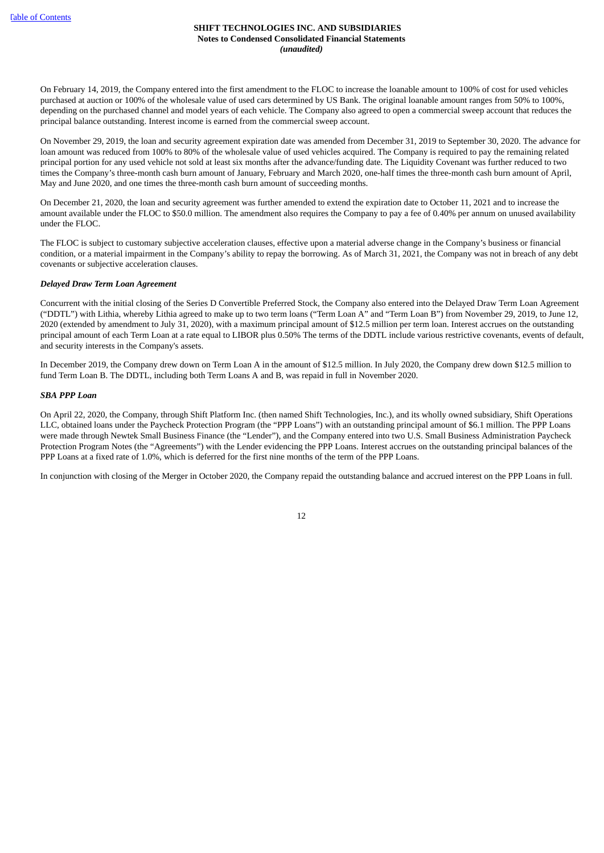On February 14, 2019, the Company entered into the first amendment to the FLOC to increase the loanable amount to 100% of cost for used vehicles purchased at auction or 100% of the wholesale value of used cars determined by US Bank. The original loanable amount ranges from 50% to 100%, depending on the purchased channel and model years of each vehicle. The Company also agreed to open a commercial sweep account that reduces the principal balance outstanding. Interest income is earned from the commercial sweep account.

On November 29, 2019, the loan and security agreement expiration date was amended from December 31, 2019 to September 30, 2020. The advance for loan amount was reduced from 100% to 80% of the wholesale value of used vehicles acquired. The Company is required to pay the remaining related principal portion for any used vehicle not sold at least six months after the advance/funding date. The Liquidity Covenant was further reduced to two times the Company's three-month cash burn amount of January, February and March 2020, one-half times the three-month cash burn amount of April, May and June 2020, and one times the three-month cash burn amount of succeeding months.

On December 21, 2020, the loan and security agreement was further amended to extend the expiration date to October 11, 2021 and to increase the amount available under the FLOC to \$50.0 million. The amendment also requires the Company to pay a fee of 0.40% per annum on unused availability under the FLOC.

The FLOC is subject to customary subjective acceleration clauses, effective upon a material adverse change in the Company's business or financial condition, or a material impairment in the Company's ability to repay the borrowing. As of March 31, 2021, the Company was not in breach of any debt covenants or subjective acceleration clauses.

## *Delayed Draw Term Loan Agreement*

Concurrent with the initial closing of the Series D Convertible Preferred Stock, the Company also entered into the Delayed Draw Term Loan Agreement ("DDTL") with Lithia, whereby Lithia agreed to make up to two term loans ("Term Loan A" and "Term Loan B") from November 29, 2019, to June 12, 2020 (extended by amendment to July 31, 2020), with a maximum principal amount of \$12.5 million per term loan. Interest accrues on the outstanding principal amount of each Term Loan at a rate equal to LIBOR plus 0.50% The terms of the DDTL include various restrictive covenants, events of default, and security interests in the Company's assets.

In December 2019, the Company drew down on Term Loan A in the amount of \$12.5 million. In July 2020, the Company drew down \$12.5 million to fund Term Loan B. The DDTL, including both Term Loans A and B, was repaid in full in November 2020.

## *SBA PPP Loan*

On April 22, 2020, the Company, through Shift Platform Inc. (then named Shift Technologies, Inc.), and its wholly owned subsidiary, Shift Operations LLC, obtained loans under the Paycheck Protection Program (the "PPP Loans") with an outstanding principal amount of \$6.1 million. The PPP Loans were made through Newtek Small Business Finance (the "Lender"), and the Company entered into two U.S. Small Business Administration Paycheck Protection Program Notes (the "Agreements") with the Lender evidencing the PPP Loans. Interest accrues on the outstanding principal balances of the PPP Loans at a fixed rate of 1.0%, which is deferred for the first nine months of the term of the PPP Loans.

In conjunction with closing of the Merger in October 2020, the Company repaid the outstanding balance and accrued interest on the PPP Loans in full.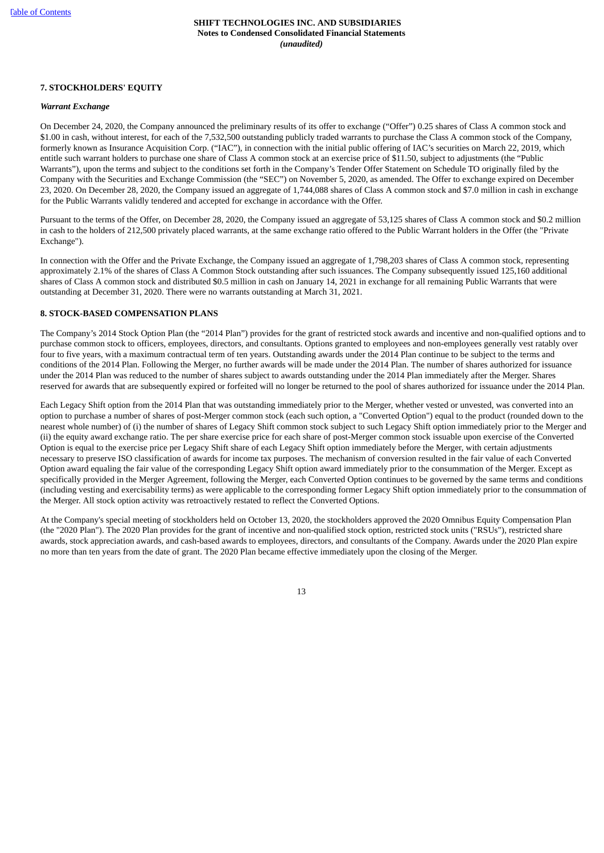## **7. STOCKHOLDERS' EQUITY**

#### *Warrant Exchange*

On December 24, 2020, the Company announced the preliminary results of its offer to exchange ("Offer") 0.25 shares of Class A common stock and \$1.00 in cash, without interest, for each of the 7,532,500 outstanding publicly traded warrants to purchase the Class A common stock of the Company, formerly known as Insurance Acquisition Corp. ("IAC"), in connection with the initial public offering of IAC's securities on March 22, 2019, which entitle such warrant holders to purchase one share of Class A common stock at an exercise price of \$11.50, subject to adjustments (the "Public Warrants"), upon the terms and subject to the conditions set forth in the Company's Tender Offer Statement on Schedule TO originally filed by the Company with the Securities and Exchange Commission (the "SEC") on November 5, 2020, as amended. The Offer to exchange expired on December 23, 2020. On December 28, 2020, the Company issued an aggregate of 1,744,088 shares of Class A common stock and \$7.0 million in cash in exchange for the Public Warrants validly tendered and accepted for exchange in accordance with the Offer.

Pursuant to the terms of the Offer, on December 28, 2020, the Company issued an aggregate of 53,125 shares of Class A common stock and \$0.2 million in cash to the holders of 212,500 privately placed warrants, at the same exchange ratio offered to the Public Warrant holders in the Offer (the "Private Exchange").

In connection with the Offer and the Private Exchange, the Company issued an aggregate of 1,798,203 shares of Class A common stock, representing approximately 2.1% of the shares of Class A Common Stock outstanding after such issuances. The Company subsequently issued 125,160 additional shares of Class A common stock and distributed \$0.5 million in cash on January 14, 2021 in exchange for all remaining Public Warrants that were outstanding at December 31, 2020. There were no warrants outstanding at March 31, 2021.

## **8. STOCK-BASED COMPENSATION PLANS**

The Company's 2014 Stock Option Plan (the "2014 Plan") provides for the grant of restricted stock awards and incentive and non-qualified options and to purchase common stock to officers, employees, directors, and consultants. Options granted to employees and non-employees generally vest ratably over four to five years, with a maximum contractual term of ten years. Outstanding awards under the 2014 Plan continue to be subject to the terms and conditions of the 2014 Plan. Following the Merger, no further awards will be made under the 2014 Plan. The number of shares authorized for issuance under the 2014 Plan was reduced to the number of shares subject to awards outstanding under the 2014 Plan immediately after the Merger. Shares reserved for awards that are subsequently expired or forfeited will no longer be returned to the pool of shares authorized for issuance under the 2014 Plan.

Each Legacy Shift option from the 2014 Plan that was outstanding immediately prior to the Merger, whether vested or unvested, was converted into an option to purchase a number of shares of post-Merger common stock (each such option, a "Converted Option") equal to the product (rounded down to the nearest whole number) of (i) the number of shares of Legacy Shift common stock subject to such Legacy Shift option immediately prior to the Merger and (ii) the equity award exchange ratio. The per share exercise price for each share of post-Merger common stock issuable upon exercise of the Converted Option is equal to the exercise price per Legacy Shift share of each Legacy Shift option immediately before the Merger, with certain adjustments necessary to preserve ISO classification of awards for income tax purposes. The mechanism of conversion resulted in the fair value of each Converted Option award equaling the fair value of the corresponding Legacy Shift option award immediately prior to the consummation of the Merger. Except as specifically provided in the Merger Agreement, following the Merger, each Converted Option continues to be governed by the same terms and conditions (including vesting and exercisability terms) as were applicable to the corresponding former Legacy Shift option immediately prior to the consummation of the Merger. All stock option activity was retroactively restated to reflect the Converted Options.

At the Company's special meeting of stockholders held on October 13, 2020, the stockholders approved the 2020 Omnibus Equity Compensation Plan (the "2020 Plan"). The 2020 Plan provides for the grant of incentive and non-qualified stock option, restricted stock units ("RSUs"), restricted share awards, stock appreciation awards, and cash-based awards to employees, directors, and consultants of the Company. Awards under the 2020 Plan expire no more than ten years from the date of grant. The 2020 Plan became effective immediately upon the closing of the Merger.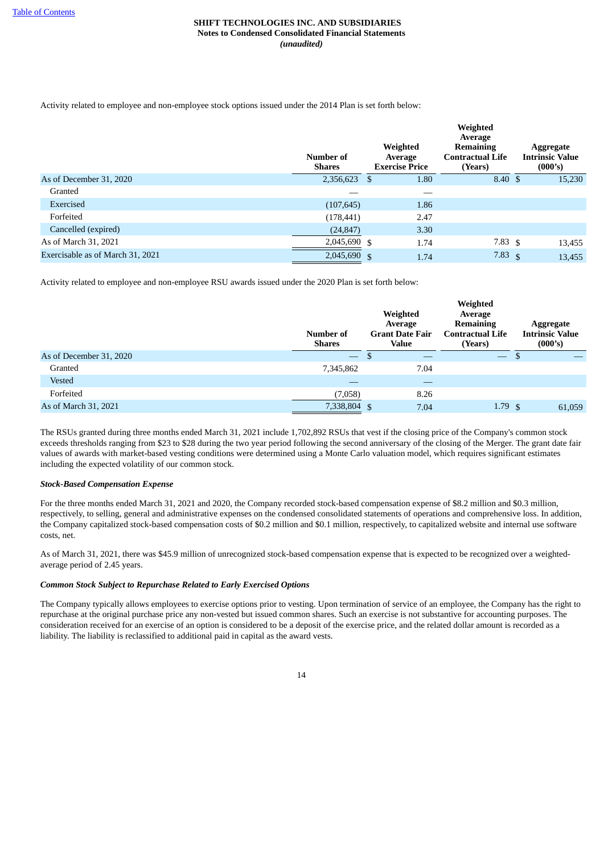Activity related to employee and non-employee stock options issued under the 2014 Plan is set forth below:

|                                  | Number of<br><b>Shares</b> | Weighted<br>Average<br><b>Exercise Price</b> |      | Weighted<br>Average<br><b>Remaining</b><br><b>Contractual Life</b><br>(Years) | Aggregate<br><b>Intrinsic Value</b><br>(000's) |
|----------------------------------|----------------------------|----------------------------------------------|------|-------------------------------------------------------------------------------|------------------------------------------------|
| As of December 31, 2020          | 2,356,623                  | S                                            | 1.80 | $8.40 \text{ }$ \$                                                            | 15,230                                         |
| Granted                          |                            |                                              |      |                                                                               |                                                |
| Exercised                        | (107, 645)                 |                                              | 1.86 |                                                                               |                                                |
| Forfeited                        | (178, 441)                 |                                              | 2.47 |                                                                               |                                                |
| Cancelled (expired)              | (24, 847)                  |                                              | 3.30 |                                                                               |                                                |
| As of March 31, 2021             | 2,045,690 \$               |                                              | 1.74 | 7.83 $\sqrt{5}$                                                               | 13,455                                         |
| Exercisable as of March 31, 2021 | 2,045,690                  | $\mathbf{\$}$                                | 1.74 | 7.83 $\sqrt{5}$                                                               | 13,455                                         |

Activity related to employee and non-employee RSU awards issued under the 2020 Plan is set forth below:

|                         | Number of<br>Shares      | Weighted<br>Average<br><b>Grant Date Fair</b><br>Value | Weighted<br>Average<br><b>Remaining</b><br><b>Contractual Life</b><br>(Years) | Aggregate<br><b>Intrinsic Value</b><br>(000's) |
|-------------------------|--------------------------|--------------------------------------------------------|-------------------------------------------------------------------------------|------------------------------------------------|
| As of December 31, 2020 | $\overline{\phantom{m}}$ | മ                                                      | $\overline{\phantom{m}}$                                                      |                                                |
| Granted                 | 7,345,862                | 7.04                                                   |                                                                               |                                                |
| Vested                  |                          |                                                        |                                                                               |                                                |
| Forfeited               | (7,058)                  | 8.26                                                   |                                                                               |                                                |
| As of March 31, 2021    | 7,338,804 \$             | 7.04                                                   | 1.79 <sub>5</sub>                                                             | 61.059                                         |

The RSUs granted during three months ended March 31, 2021 include 1,702,892 RSUs that vest if the closing price of the Company's common stock exceeds thresholds ranging from \$23 to \$28 during the two year period following the second anniversary of the closing of the Merger. The grant date fair values of awards with market-based vesting conditions were determined using a Monte Carlo valuation model, which requires significant estimates including the expected volatility of our common stock.

## *Stock-Based Compensation Expense*

For the three months ended March 31, 2021 and 2020, the Company recorded stock-based compensation expense of \$8.2 million and \$0.3 million, respectively, to selling, general and administrative expenses on the condensed consolidated statements of operations and comprehensive loss. In addition, the Company capitalized stock-based compensation costs of \$0.2 million and \$0.1 million, respectively, to capitalized website and internal use software costs, net.

As of March 31, 2021, there was \$45.9 million of unrecognized stock-based compensation expense that is expected to be recognized over a weightedaverage period of 2.45 years.

## *Common Stock Subject to Repurchase Related to Early Exercised Options*

The Company typically allows employees to exercise options prior to vesting. Upon termination of service of an employee, the Company has the right to repurchase at the original purchase price any non-vested but issued common shares. Such an exercise is not substantive for accounting purposes. The consideration received for an exercise of an option is considered to be a deposit of the exercise price, and the related dollar amount is recorded as a liability. The liability is reclassified to additional paid in capital as the award vests.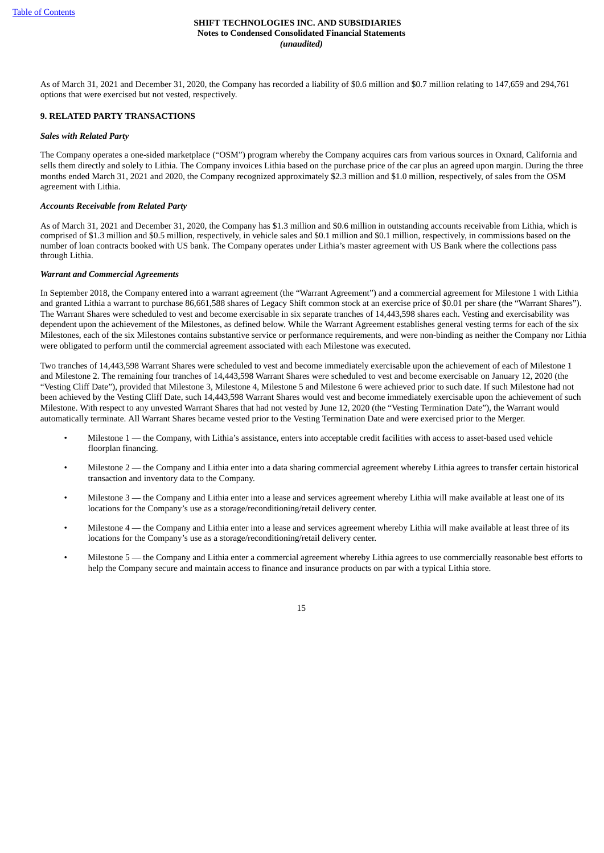As of March 31, 2021 and December 31, 2020, the Company has recorded a liability of \$0.6 million and \$0.7 million relating to 147,659 and 294,761 options that were exercised but not vested, respectively.

## **9. RELATED PARTY TRANSACTIONS**

## *Sales with Related Party*

The Company operates a one-sided marketplace ("OSM") program whereby the Company acquires cars from various sources in Oxnard, California and sells them directly and solely to Lithia. The Company invoices Lithia based on the purchase price of the car plus an agreed upon margin. During the three months ended March 31, 2021 and 2020, the Company recognized approximately \$2.3 million and \$1.0 million, respectively, of sales from the OSM agreement with Lithia.

## *Accounts Receivable from Related Party*

As of March 31, 2021 and December 31, 2020, the Company has \$1.3 million and \$0.6 million in outstanding accounts receivable from Lithia, which is comprised of \$1.3 million and \$0.5 million, respectively, in vehicle sales and \$0.1 million and \$0.1 million, respectively, in commissions based on the number of loan contracts booked with US bank. The Company operates under Lithia's master agreement with US Bank where the collections pass through Lithia.

## *Warrant and Commercial Agreements*

In September 2018, the Company entered into a warrant agreement (the "Warrant Agreement") and a commercial agreement for Milestone 1 with Lithia and granted Lithia a warrant to purchase 86,661,588 shares of Legacy Shift common stock at an exercise price of \$0.01 per share (the "Warrant Shares"). The Warrant Shares were scheduled to vest and become exercisable in six separate tranches of 14,443,598 shares each. Vesting and exercisability was dependent upon the achievement of the Milestones, as defined below. While the Warrant Agreement establishes general vesting terms for each of the six Milestones, each of the six Milestones contains substantive service or performance requirements, and were non-binding as neither the Company nor Lithia were obligated to perform until the commercial agreement associated with each Milestone was executed.

Two tranches of 14,443,598 Warrant Shares were scheduled to vest and become immediately exercisable upon the achievement of each of Milestone 1 and Milestone 2. The remaining four tranches of 14,443,598 Warrant Shares were scheduled to vest and become exercisable on January 12, 2020 (the "Vesting Cliff Date"), provided that Milestone 3, Milestone 4, Milestone 5 and Milestone 6 were achieved prior to such date. If such Milestone had not been achieved by the Vesting Cliff Date, such 14,443,598 Warrant Shares would vest and become immediately exercisable upon the achievement of such Milestone. With respect to any unvested Warrant Shares that had not vested by June 12, 2020 (the "Vesting Termination Date"), the Warrant would automatically terminate. All Warrant Shares became vested prior to the Vesting Termination Date and were exercised prior to the Merger.

- Milestone 1 the Company, with Lithia's assistance, enters into acceptable credit facilities with access to asset-based used vehicle floorplan financing.
- Milestone  $2$  the Company and Lithia enter into a data sharing commercial agreement whereby Lithia agrees to transfer certain historical transaction and inventory data to the Company.
- Milestone 3 the Company and Lithia enter into a lease and services agreement whereby Lithia will make available at least one of its locations for the Company's use as a storage/reconditioning/retail delivery center.
- Milestone  $4$  the Company and Lithia enter into a lease and services agreement whereby Lithia will make available at least three of its locations for the Company's use as a storage/reconditioning/retail delivery center.
- Milestone 5 the Company and Lithia enter a commercial agreement whereby Lithia agrees to use commercially reasonable best efforts to help the Company secure and maintain access to finance and insurance products on par with a typical Lithia store.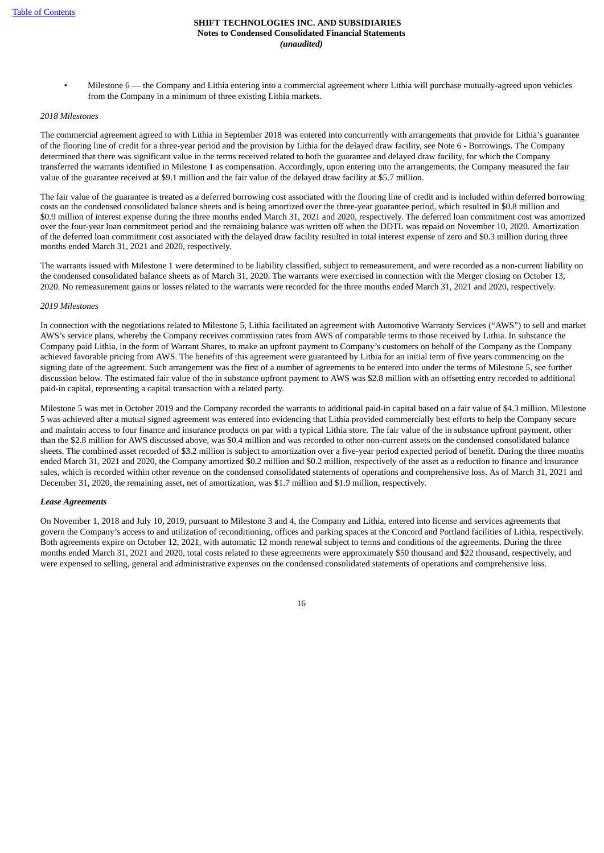Milestone  $6$  — the Company and Lithia entering into a commercial agreement where Lithia will purchase mutually-agreed upon vehicles from the Company in a minimum of three existing Lithia markets.

## *2018 Milestones*

The commercial agreement agreed to with Lithia in September 2018 was entered into concurrently with arrangements that provide for Lithia's guarantee of the flooring line of credit for a three-year period and the provision by Lithia for the delayed draw facility, see Note 6 - Borrowings. The Company determined that there was significant value in the terms received related to both the guarantee and delayed draw facility, for which the Company transferred the warrants identified in Milestone 1 as compensation. Accordingly, upon entering into the arrangements, the Company measured the fair value of the guarantee received at \$9.1 million and the fair value of the delayed draw facility at \$5.7 million.

The fair value of the guarantee is treated as a deferred borrowing cost associated with the flooring line of credit and is included within deferred borrowing costs on the condensed consolidated balance sheets and is being amortized over the three-year guarantee period, which resulted in \$0.8 million and \$0.9 million of interest expense during the three months ended March 31, 2021 and 2020, respectively. The deferred loan commitment cost was amortized over the four-year loan commitment period and the remaining balance was written off when the DDTL was repaid on November 10, 2020. Amortization of the deferred loan commitment cost associated with the delayed draw facility resulted in total interest expense of zero and \$0.3 million during three months ended March 31, 2021 and 2020, respectively.

The warrants issued with Milestone 1 were determined to be liability classified, subject to remeasurement, and were recorded as a non-current liability on the condensed consolidated balance sheets as of March 31, 2020. The warrants were exercised in connection with the Merger closing on October 13, 2020. No remeasurement gains or losses related to the warrants were recorded for the three months ended March 31, 2021 and 2020, respectively.

#### *2019 Milestones*

In connection with the negotiations related to Milestone 5, Lithia facilitated an agreement with Automotive Warranty Services ("AWS") to sell and market AWS's service plans, whereby the Company receives commission rates from AWS of comparable terms to those received by Lithia. In substance the Company paid Lithia, in the form of Warrant Shares, to make an upfront payment to Company's customers on behalf of the Company as the Company achieved favorable pricing from AWS. The benefits of this agreement were guaranteed by Lithia for an initial term of five years commencing on the signing date of the agreement. Such arrangement was the first of a number of agreements to be entered into under the terms of Milestone 5, see further discussion below. The estimated fair value of the in substance upfront payment to AWS was \$2.8 million with an offsetting entry recorded to additional paid-in capital, representing a capital transaction with a related party.

Milestone 5 was met in October 2019 and the Company recorded the warrants to additional paid-in capital based on a fair value of \$4.3 million. Milestone 5 was achieved after a mutual signed agreement was entered into evidencing that Lithia provided commercially best efforts to help the Company secure and maintain access to four finance and insurance products on par with a typical Lithia store. The fair value of the in substance upfront payment, other than the \$2.8 million for AWS discussed above, was \$0.4 million and was recorded to other non-current assets on the condensed consolidated balance sheets. The combined asset recorded of \$3.2 million is subject to amortization over a five-year period expected period of benefit. During the three months ended March 31, 2021 and 2020, the Company amortized \$0.2 million and \$0.2 million, respectively of the asset as a reduction to finance and insurance sales, which is recorded within other revenue on the condensed consolidated statements of operations and comprehensive loss. As of March 31, 2021 and December 31, 2020, the remaining asset, net of amortization, was \$1.7 million and \$1.9 million, respectively.

#### *Lease Agreements*

On November 1, 2018 and July 10, 2019, pursuant to Milestone 3 and 4, the Company and Lithia, entered into license and services agreements that govern the Company's access to and utilization of reconditioning, offices and parking spaces at the Concord and Portland facilities of Lithia, respectively. Both agreements expire on October 12, 2021, with automatic 12 month renewal subject to terms and conditions of the agreements. During the three months ended March 31, 2021 and 2020, total costs related to these agreements were approximately \$50 thousand and \$22 thousand, respectively, and were expensed to selling, general and administrative expenses on the condensed consolidated statements of operations and comprehensive loss.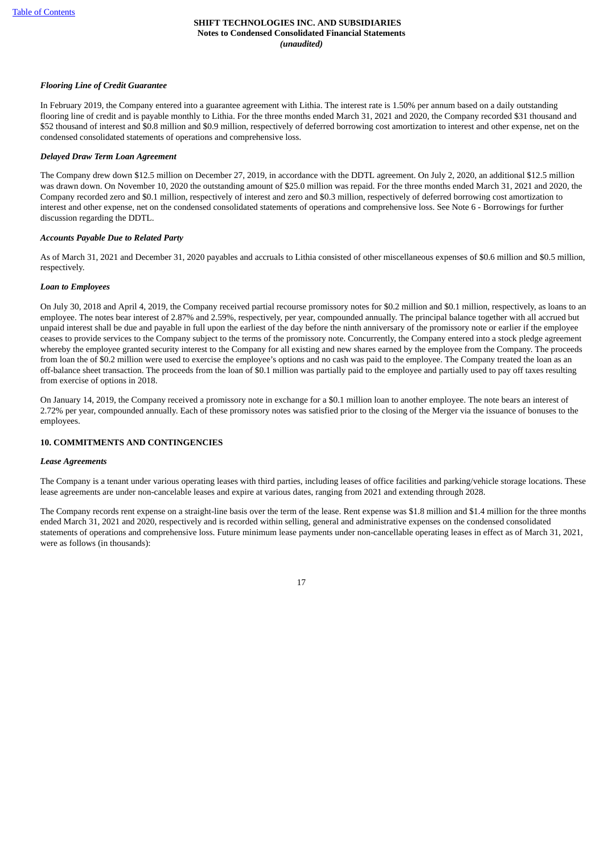## *Flooring Line of Credit Guarantee*

In February 2019, the Company entered into a guarantee agreement with Lithia. The interest rate is 1.50% per annum based on a daily outstanding flooring line of credit and is payable monthly to Lithia. For the three months ended March 31, 2021 and 2020, the Company recorded \$31 thousand and \$52 thousand of interest and \$0.8 million and \$0.9 million, respectively of deferred borrowing cost amortization to interest and other expense, net on the condensed consolidated statements of operations and comprehensive loss.

## *Delayed Draw Term Loan Agreement*

The Company drew down \$12.5 million on December 27, 2019, in accordance with the DDTL agreement. On July 2, 2020, an additional \$12.5 million was drawn down. On November 10, 2020 the outstanding amount of \$25.0 million was repaid. For the three months ended March 31, 2021 and 2020, the Company recorded zero and \$0.1 million, respectively of interest and zero and \$0.3 million, respectively of deferred borrowing cost amortization to interest and other expense, net on the condensed consolidated statements of operations and comprehensive loss. See Note 6 - Borrowings for further discussion regarding the DDTL.

## *Accounts Payable Due to Related Party*

As of March 31, 2021 and December 31, 2020 payables and accruals to Lithia consisted of other miscellaneous expenses of \$0.6 million and \$0.5 million, respectively.

## *Loan to Employees*

On July 30, 2018 and April 4, 2019, the Company received partial recourse promissory notes for \$0.2 million and \$0.1 million, respectively, as loans to an employee. The notes bear interest of 2.87% and 2.59%, respectively, per year, compounded annually. The principal balance together with all accrued but unpaid interest shall be due and payable in full upon the earliest of the day before the ninth anniversary of the promissory note or earlier if the employee ceases to provide services to the Company subject to the terms of the promissory note. Concurrently, the Company entered into a stock pledge agreement whereby the employee granted security interest to the Company for all existing and new shares earned by the employee from the Company. The proceeds from loan the of \$0.2 million were used to exercise the employee's options and no cash was paid to the employee. The Company treated the loan as an off-balance sheet transaction. The proceeds from the loan of \$0.1 million was partially paid to the employee and partially used to pay off taxes resulting from exercise of options in 2018.

On January 14, 2019, the Company received a promissory note in exchange for a \$0.1 million loan to another employee. The note bears an interest of 2.72% per year, compounded annually. Each of these promissory notes was satisfied prior to the closing of the Merger via the issuance of bonuses to the employees.

## **10. COMMITMENTS AND CONTINGENCIES**

#### *Lease Agreements*

The Company is a tenant under various operating leases with third parties, including leases of office facilities and parking/vehicle storage locations. These lease agreements are under non-cancelable leases and expire at various dates, ranging from 2021 and extending through 2028.

The Company records rent expense on a straight-line basis over the term of the lease. Rent expense was \$1.8 million and \$1.4 million for the three months ended March 31, 2021 and 2020, respectively and is recorded within selling, general and administrative expenses on the condensed consolidated statements of operations and comprehensive loss. Future minimum lease payments under non-cancellable operating leases in effect as of March 31, 2021, were as follows (in thousands):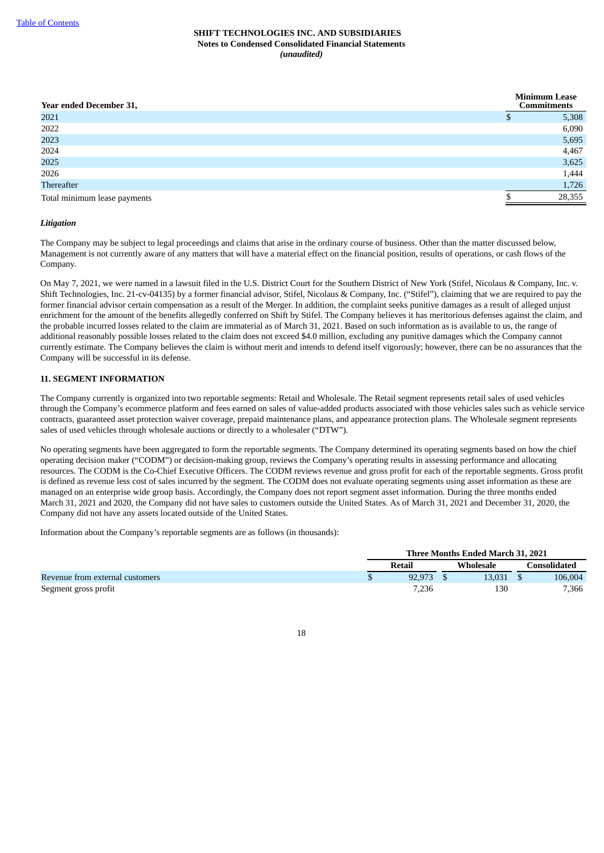| <b>Year ended December 31,</b> | <b>Minimum Lease</b><br><b>Commitments</b> |
|--------------------------------|--------------------------------------------|
| 2021                           | 5,308                                      |
| 2022                           | 6,090                                      |
| 2023                           | 5,695                                      |
| 2024                           | 4,467                                      |
| 2025                           | 3,625                                      |
| 2026                           | 1,444                                      |
| Thereafter                     | 1,726                                      |
| Total minimum lease payments   | 28,355                                     |

## *Litigation*

The Company may be subject to legal proceedings and claims that arise in the ordinary course of business. Other than the matter discussed below, Management is not currently aware of any matters that will have a material effect on the financial position, results of operations, or cash flows of the Company.

On May 7, 2021, we were named in a lawsuit filed in the U.S. District Court for the Southern District of New York (Stifel, Nicolaus & Company, Inc. v. Shift Technologies, Inc. 21-cv-04135) by a former financial advisor, Stifel, Nicolaus & Company, Inc. ("Stifel"), claiming that we are required to pay the former financial advisor certain compensation as a result of the Merger. In addition, the complaint seeks punitive damages as a result of alleged unjust enrichment for the amount of the benefits allegedly conferred on Shift by Stifel. The Company believes it has meritorious defenses against the claim, and the probable incurred losses related to the claim are immaterial as of March 31, 2021. Based on such information as is available to us, the range of additional reasonably possible losses related to the claim does not exceed \$4.0 million, excluding any punitive damages which the Company cannot currently estimate. The Company believes the claim is without merit and intends to defend itself vigorously; however, there can be no assurances that the Company will be successful in its defense.

## **11. SEGMENT INFORMATION**

The Company currently is organized into two reportable segments: Retail and Wholesale. The Retail segment represents retail sales of used vehicles through the Company's ecommerce platform and fees earned on sales of value-added products associated with those vehicles sales such as vehicle service contracts, guaranteed asset protection waiver coverage, prepaid maintenance plans, and appearance protection plans. The Wholesale segment represents sales of used vehicles through wholesale auctions or directly to a wholesaler ("DTW").

No operating segments have been aggregated to form the reportable segments. The Company determined its operating segments based on how the chief operating decision maker ("CODM") or decision-making group, reviews the Company's operating results in assessing performance and allocating resources. The CODM is the Co-Chief Executive Officers. The CODM reviews revenue and gross profit for each of the reportable segments. Gross profit is defined as revenue less cost of sales incurred by the segment. The CODM does not evaluate operating segments using asset information as these are managed on an enterprise wide group basis. Accordingly, the Company does not report segment asset information. During the three months ended March 31, 2021 and 2020, the Company did not have sales to customers outside the United States. As of March 31, 2021 and December 31, 2020, the Company did not have any assets located outside of the United States.

Information about the Company's reportable segments are as follows (in thousands):

|                                 | Three Months Ended March 31, 2021 |        |  |           |  |              |
|---------------------------------|-----------------------------------|--------|--|-----------|--|--------------|
|                                 |                                   | Retail |  | Wholesale |  | Consolidated |
| Revenue from external customers |                                   | 92,973 |  | 13.031 \$ |  | 106,004      |
| Segment gross profit            |                                   | 7.236  |  | 130       |  | 7,366        |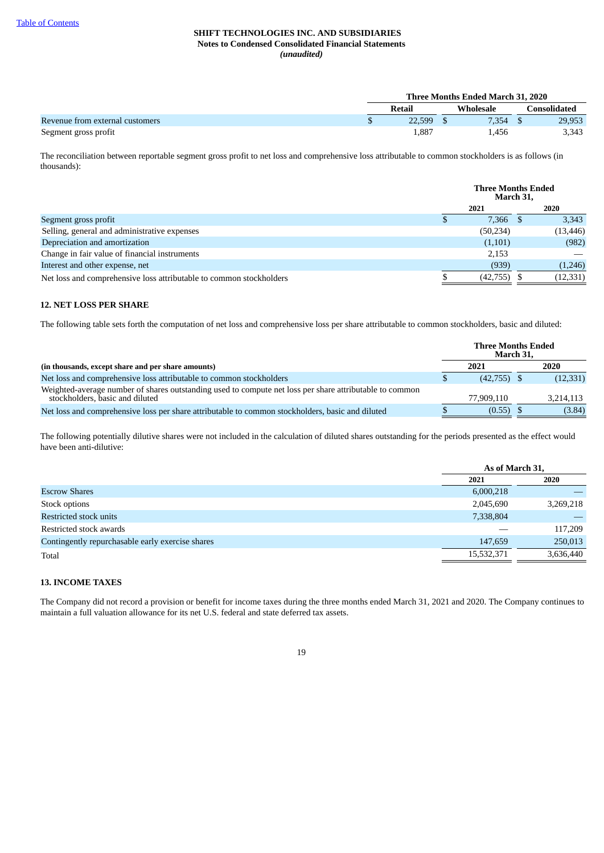|                                 | Three Months Ended March 31, 2020 |        |  |           |  |                     |
|---------------------------------|-----------------------------------|--------|--|-----------|--|---------------------|
|                                 |                                   | Retail |  | Wholesale |  | <b>Consolidated</b> |
| Revenue from external customers |                                   | 22.599 |  | 7.354     |  | 29,953              |
| Segment gross profit            |                                   | 1,887  |  | 1.456     |  | 3,343               |

The reconciliation between reportable segment gross profit to net loss and comprehensive loss attributable to common stockholders is as follows (in thousands):

|                                                                     | <b>Three Months Ended</b><br>March 31, |           |  |           |
|---------------------------------------------------------------------|----------------------------------------|-----------|--|-----------|
|                                                                     |                                        | 2021      |  | 2020      |
| Segment gross profit                                                |                                        | 7.366     |  | 3,343     |
| Selling, general and administrative expenses                        |                                        | (50, 234) |  | (13, 446) |
| Depreciation and amortization                                       |                                        | (1,101)   |  | (982)     |
| Change in fair value of financial instruments                       |                                        | 2,153     |  |           |
| Interest and other expense, net                                     |                                        | (939)     |  | (1,246)   |
| Net loss and comprehensive loss attributable to common stockholders |                                        | (42,755)  |  | (12, 331) |

## **12. NET LOSS PER SHARE**

The following table sets forth the computation of net loss and comprehensive loss per share attributable to common stockholders, basic and diluted:

|                                                                                                                                            | <b>Three Months Ended</b><br>March 31, |               |  |           |
|--------------------------------------------------------------------------------------------------------------------------------------------|----------------------------------------|---------------|--|-----------|
| (in thousands, except share and per share amounts)                                                                                         |                                        | 2021          |  | 2020      |
| Net loss and comprehensive loss attributable to common stockholders                                                                        |                                        | $(42,755)$ \$ |  | (12, 331) |
| Weighted-average number of shares outstanding used to compute net loss per share attributable to common<br>stockholders, basic and diluted |                                        | 77.909.110    |  | 3,214,113 |
| Net loss and comprehensive loss per share attributable to common stockholders, basic and diluted                                           |                                        | (0.55)        |  | (3.84)    |

The following potentially dilutive shares were not included in the calculation of diluted shares outstanding for the periods presented as the effect would have been anti-dilutive:

|                                                  |            | As of March 31, |
|--------------------------------------------------|------------|-----------------|
|                                                  | 2021       | 2020            |
| <b>Escrow Shares</b>                             | 6,000,218  |                 |
| Stock options                                    | 2,045,690  | 3,269,218       |
| Restricted stock units                           | 7,338,804  |                 |
| Restricted stock awards                          |            | 117,209         |
| Contingently repurchasable early exercise shares | 147,659    | 250,013         |
| Total                                            | 15,532,371 | 3,636,440       |
|                                                  |            |                 |

## **13. INCOME TAXES**

<span id="page-23-0"></span>The Company did not record a provision or benefit for income taxes during the three months ended March 31, 2021 and 2020. The Company continues to maintain a full valuation allowance for its net U.S. federal and state deferred tax assets.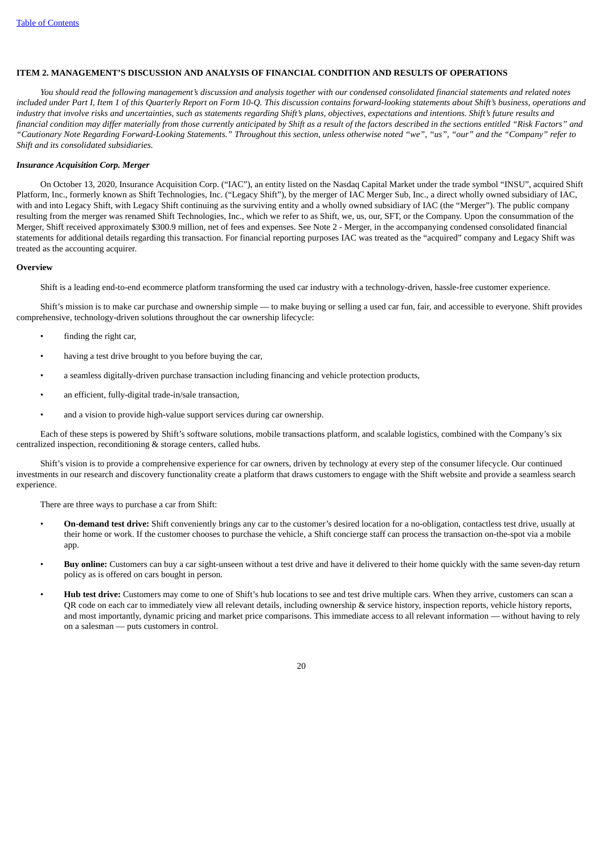### **ITEM 2. MANAGEMENT'S DISCUSSION AND ANALYSIS OF FINANCIAL CONDITION AND RESULTS OF OPERATIONS**

You should read the following management's discussion and analysis together with our condensed consolidated financial statements and related notes included under Part I, Item 1 of this Quarterly Report on Form 10-O. This discussion contains forward-looking statements about Shift's business, operations and industry that involve risks and uncertainties, such as statements regarding Shift's plans, objectives, expectations and intentions. Shift's future results and financial condition may differ materially from those currently anticipated by Shift as a result of the factors described in the sections entitled "Risk Factors" and "Cautionary Note Regarding Forward-Looking Statements." Throughout this section, unless otherwise noted "we", "us", "our" and the "Company" refer to *Shift and its consolidated subsidiaries.*

#### *Insurance Acquisition Corp. Merger*

On October 13, 2020, Insurance Acquisition Corp. ("IAC"), an entity listed on the Nasdaq Capital Market under the trade symbol "INSU", acquired Shift Platform, Inc., formerly known as Shift Technologies, Inc. ("Legacy Shift"), by the merger of IAC Merger Sub, Inc., a direct wholly owned subsidiary of IAC, with and into Legacy Shift, with Legacy Shift continuing as the surviving entity and a wholly owned subsidiary of IAC (the "Merger"). The public company resulting from the merger was renamed Shift Technologies, Inc., which we refer to as Shift, we, us, our, SFT, or the Company. Upon the consummation of the Merger, Shift received approximately \$300.9 million, net of fees and expenses. See Note 2 - Merger, in the accompanying condensed consolidated financial statements for additional details regarding this transaction. For financial reporting purposes IAC was treated as the "acquired" company and Legacy Shift was treated as the accounting acquirer.

#### **Overview**

Shift is a leading end-to-end ecommerce platform transforming the used car industry with a technology-driven, hassle-free customer experience.

Shift's mission is to make car purchase and ownership simple — to make buying or selling a used car fun, fair, and accessible to everyone. Shift provides comprehensive, technology-driven solutions throughout the car ownership lifecycle:

- finding the right car,
- having a test drive brought to you before buying the car,
- a seamless digitally-driven purchase transaction including financing and vehicle protection products,
- an efficient, fully-digital trade-in/sale transaction,
- and a vision to provide high-value support services during car ownership.

Each of these steps is powered by Shift's software solutions, mobile transactions platform, and scalable logistics, combined with the Company's six centralized inspection, reconditioning & storage centers, called hubs.

Shift's vision is to provide a comprehensive experience for car owners, driven by technology at every step of the consumer lifecycle. Our continued investments in our research and discovery functionality create a platform that draws customers to engage with the Shift website and provide a seamless search experience.

There are three ways to purchase a car from Shift:

- **On-demand test drive:** Shift conveniently brings any car to the customer's desired location for a no-obligation, contactless test drive, usually at their home or work. If the customer chooses to purchase the vehicle, a Shift concierge staff can process the transaction on-the-spot via a mobile app.
- **Buy online:** Customers can buy a car sight-unseen without a test drive and have it delivered to their home quickly with the same seven-day return policy as is offered on cars bought in person.
- **Hub test drive:** Customers may come to one of Shift's hub locations to see and test drive multiple cars. When they arrive, customers can scan a QR code on each car to immediately view all relevant details, including ownership & service history, inspection reports, vehicle history reports, and most importantly, dynamic pricing and market price comparisons. This immediate access to all relevant information — without having to rely on a salesman — puts customers in control.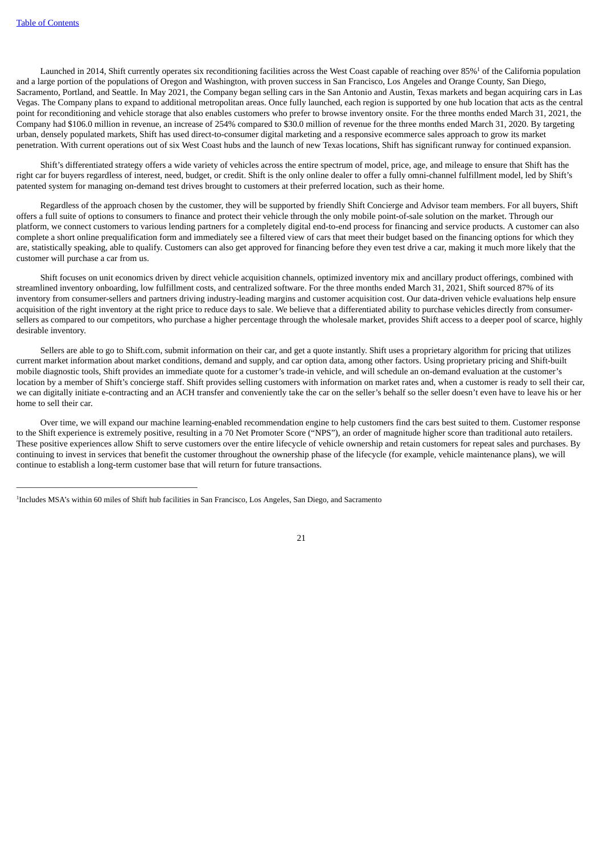Launched in 2014, Shift currently operates six reconditioning facilities across the West Coast capable of reaching over 85%<sup>1</sup> of the California population and a large portion of the populations of Oregon and Washington, with proven success in San Francisco, Los Angeles and Orange County, San Diego, Sacramento, Portland, and Seattle. In May 2021, the Company began selling cars in the San Antonio and Austin, Texas markets and began acquiring cars in Las Vegas. The Company plans to expand to additional metropolitan areas. Once fully launched, each region is supported by one hub location that acts as the central point for reconditioning and vehicle storage that also enables customers who prefer to browse inventory onsite. For the three months ended March 31, 2021, the Company had \$106.0 million in revenue, an increase of 254% compared to \$30.0 million of revenue for the three months ended March 31, 2020. By targeting urban, densely populated markets, Shift has used direct-to-consumer digital marketing and a responsive ecommerce sales approach to grow its market penetration. With current operations out of six West Coast hubs and the launch of new Texas locations, Shift has significant runway for continued expansion.

Shift's differentiated strategy offers a wide variety of vehicles across the entire spectrum of model, price, age, and mileage to ensure that Shift has the right car for buyers regardless of interest, need, budget, or credit. Shift is the only online dealer to offer a fully omni-channel fulfillment model, led by Shift's patented system for managing on-demand test drives brought to customers at their preferred location, such as their home.

Regardless of the approach chosen by the customer, they will be supported by friendly Shift Concierge and Advisor team members. For all buyers, Shift offers a full suite of options to consumers to finance and protect their vehicle through the only mobile point-of-sale solution on the market. Through our platform, we connect customers to various lending partners for a completely digital end-to-end process for financing and service products. A customer can also complete a short online prequalification form and immediately see a filtered view of cars that meet their budget based on the financing options for which they are, statistically speaking, able to qualify. Customers can also get approved for financing before they even test drive a car, making it much more likely that the customer will purchase a car from us.

Shift focuses on unit economics driven by direct vehicle acquisition channels, optimized inventory mix and ancillary product offerings, combined with streamlined inventory onboarding, low fulfillment costs, and centralized software. For the three months ended March 31, 2021, Shift sourced 87% of its inventory from consumer-sellers and partners driving industry-leading margins and customer acquisition cost. Our data-driven vehicle evaluations help ensure acquisition of the right inventory at the right price to reduce days to sale. We believe that a differentiated ability to purchase vehicles directly from consumersellers as compared to our competitors, who purchase a higher percentage through the wholesale market, provides Shift access to a deeper pool of scarce, highly desirable inventory.

Sellers are able to go to Shift.com, submit information on their car, and get a quote instantly. Shift uses a proprietary algorithm for pricing that utilizes current market information about market conditions, demand and supply, and car option data, among other factors. Using proprietary pricing and Shift-built mobile diagnostic tools, Shift provides an immediate quote for a customer's trade-in vehicle, and will schedule an on-demand evaluation at the customer's location by a member of Shift's concierge staff. Shift provides selling customers with information on market rates and, when a customer is ready to sell their car, we can digitally initiate e-contracting and an ACH transfer and conveniently take the car on the seller's behalf so the seller doesn't even have to leave his or her home to sell their car.

Over time, we will expand our machine learning-enabled recommendation engine to help customers find the cars best suited to them. Customer response to the Shift experience is extremely positive, resulting in a 70 Net Promoter Score ("NPS"), an order of magnitude higher score than traditional auto retailers. These positive experiences allow Shift to serve customers over the entire lifecycle of vehicle ownership and retain customers for repeat sales and purchases. By continuing to invest in services that benefit the customer throughout the ownership phase of the lifecycle (for example, vehicle maintenance plans), we will continue to establish a long-term customer base that will return for future transactions.

 $\overline{\phantom{a}}$  , and the set of the set of the set of the set of the set of the set of the set of the set of the set of the set of the set of the set of the set of the set of the set of the set of the set of the set of the s



<sup>&</sup>lt;sup>1</sup>Includes MSA's within 60 miles of Shift hub facilities in San Francisco, Los Angeles, San Diego, and Sacramento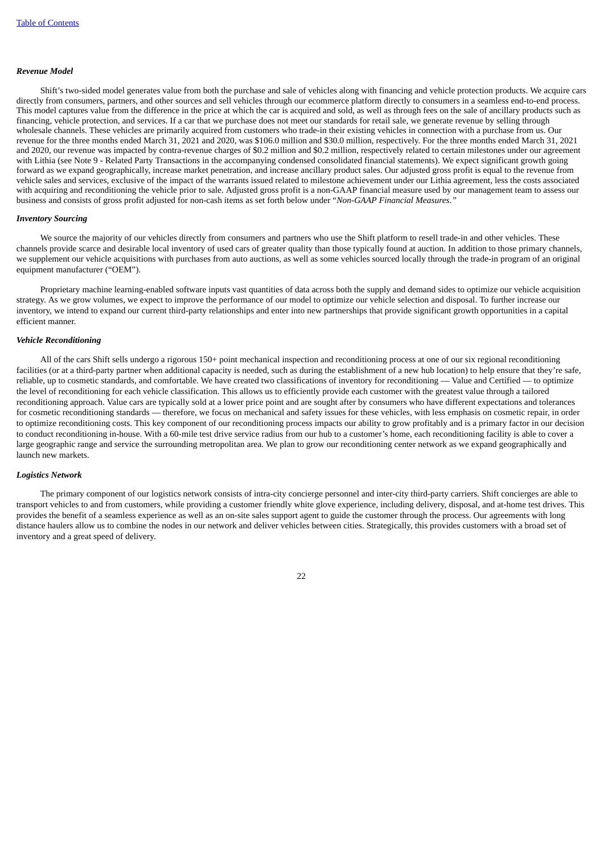#### *Revenue Model*

Shift's two-sided model generates value from both the purchase and sale of vehicles along with financing and vehicle protection products. We acquire cars directly from consumers, partners, and other sources and sell vehicles through our ecommerce platform directly to consumers in a seamless end-to-end process. This model captures value from the difference in the price at which the car is acquired and sold, as well as through fees on the sale of ancillary products such as financing, vehicle protection, and services. If a car that we purchase does not meet our standards for retail sale, we generate revenue by selling through wholesale channels. These vehicles are primarily acquired from customers who trade-in their existing vehicles in connection with a purchase from us. Our revenue for the three months ended March 31, 2021 and 2020, was \$106.0 million and \$30.0 million, respectively. For the three months ended March 31, 2021 and 2020, our revenue was impacted by contra-revenue charges of \$0.2 million and \$0.2 million, respectively related to certain milestones under our agreement with Lithia (see Note 9 - Related Party Transactions in the accompanying condensed consolidated financial statements). We expect significant growth going forward as we expand geographically, increase market penetration, and increase ancillary product sales. Our adjusted gross profit is equal to the revenue from vehicle sales and services, exclusive of the impact of the warrants issued related to milestone achievement under our Lithia agreement, less the costs associated with acquiring and reconditioning the vehicle prior to sale. Adjusted gross profit is a non-GAAP financial measure used by our management team to assess our business and consists of gross profit adjusted for non-cash items as set forth below under "*Non-GAAP Financial Measures."*

#### *Inventory Sourcing*

We source the majority of our vehicles directly from consumers and partners who use the Shift platform to resell trade-in and other vehicles. These channels provide scarce and desirable local inventory of used cars of greater quality than those typically found at auction. In addition to those primary channels, we supplement our vehicle acquisitions with purchases from auto auctions, as well as some vehicles sourced locally through the trade-in program of an original equipment manufacturer ("OEM").

Proprietary machine learning-enabled software inputs vast quantities of data across both the supply and demand sides to optimize our vehicle acquisition strategy. As we grow volumes, we expect to improve the performance of our model to optimize our vehicle selection and disposal. To further increase our inventory, we intend to expand our current third-party relationships and enter into new partnerships that provide significant growth opportunities in a capital efficient manner.

#### *Vehicle Reconditioning*

All of the cars Shift sells undergo a rigorous 150+ point mechanical inspection and reconditioning process at one of our six regional reconditioning facilities (or at a third-party partner when additional capacity is needed, such as during the establishment of a new hub location) to help ensure that they're safe, reliable, up to cosmetic standards, and comfortable. We have created two classifications of inventory for reconditioning — Value and Certified — to optimize the level of reconditioning for each vehicle classification. This allows us to efficiently provide each customer with the greatest value through a tailored reconditioning approach. Value cars are typically sold at a lower price point and are sought after by consumers who have different expectations and tolerances for cosmetic reconditioning standards — therefore, we focus on mechanical and safety issues for these vehicles, with less emphasis on cosmetic repair, in order to optimize reconditioning costs. This key component of our reconditioning process impacts our ability to grow profitably and is a primary factor in our decision to conduct reconditioning in-house. With a 60-mile test drive service radius from our hub to a customer's home, each reconditioning facility is able to cover a large geographic range and service the surrounding metropolitan area. We plan to grow our reconditioning center network as we expand geographically and launch new markets.

#### *Logistics Network*

The primary component of our logistics network consists of intra-city concierge personnel and inter-city third-party carriers. Shift concierges are able to transport vehicles to and from customers, while providing a customer friendly white glove experience, including delivery, disposal, and at-home test drives. This provides the benefit of a seamless experience as well as an on-site sales support agent to guide the customer through the process. Our agreements with long distance haulers allow us to combine the nodes in our network and deliver vehicles between cities. Strategically, this provides customers with a broad set of inventory and a great speed of delivery.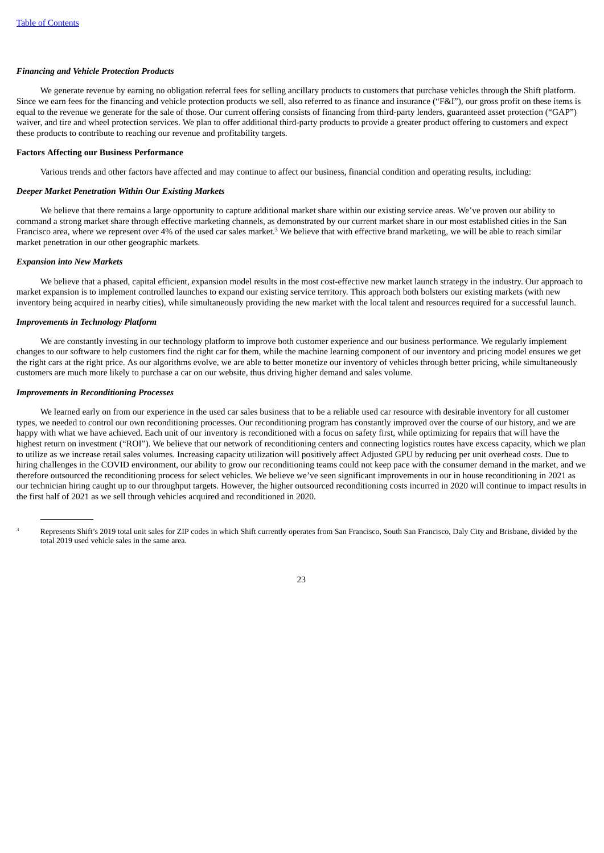#### *Financing and Vehicle Protection Products*

We generate revenue by earning no obligation referral fees for selling ancillary products to customers that purchase vehicles through the Shift platform. Since we earn fees for the financing and vehicle protection products we sell, also referred to as finance and insurance ("F&I"), our gross profit on these items is equal to the revenue we generate for the sale of those. Our current offering consists of financing from third-party lenders, guaranteed asset protection ("GAP") waiver, and tire and wheel protection services. We plan to offer additional third-party products to provide a greater product offering to customers and expect these products to contribute to reaching our revenue and profitability targets.

#### **Factors Affecting our Business Performance**

Various trends and other factors have affected and may continue to affect our business, financial condition and operating results, including:

#### *Deeper Market Penetration Within Our Existing Markets*

We believe that there remains a large opportunity to capture additional market share within our existing service areas. We've proven our ability to command a strong market share through effective marketing channels, as demonstrated by our current market share in our most established cities in the San Francisco area, where we represent over 4% of the used car sales market.<sup>3</sup> We believe that with effective brand marketing, we will be able to reach similar market penetration in our other geographic markets.

### *Expansion into New Markets*

We believe that a phased, capital efficient, expansion model results in the most cost-effective new market launch strategy in the industry. Our approach to market expansion is to implement controlled launches to expand our existing service territory. This approach both bolsters our existing markets (with new inventory being acquired in nearby cities), while simultaneously providing the new market with the local talent and resources required for a successful launch.

#### *Improvements in Technology Platform*

We are constantly investing in our technology platform to improve both customer experience and our business performance. We regularly implement changes to our software to help customers find the right car for them, while the machine learning component of our inventory and pricing model ensures we get the right cars at the right price. As our algorithms evolve, we are able to better monetize our inventory of vehicles through better pricing, while simultaneously customers are much more likely to purchase a car on our website, thus driving higher demand and sales volume.

## *Improvements in Reconditioning Processes*

 $\overline{\phantom{a}}$ 

We learned early on from our experience in the used car sales business that to be a reliable used car resource with desirable inventory for all customer types, we needed to control our own reconditioning processes. Our reconditioning program has constantly improved over the course of our history, and we are happy with what we have achieved. Each unit of our inventory is reconditioned with a focus on safety first, while optimizing for repairs that will have the highest return on investment ("ROI"). We believe that our network of reconditioning centers and connecting logistics routes have excess capacity, which we plan to utilize as we increase retail sales volumes. Increasing capacity utilization will positively affect Adjusted GPU by reducing per unit overhead costs. Due to hiring challenges in the COVID environment, our ability to grow our reconditioning teams could not keep pace with the consumer demand in the market, and we therefore outsourced the reconditioning process for select vehicles. We believe we've seen significant improvements in our in house reconditioning in 2021 as our technician hiring caught up to our throughput targets. However, the higher outsourced reconditioning costs incurred in 2020 will continue to impact results in the first half of 2021 as we sell through vehicles acquired and reconditioned in 2020.

Represents Shift's 2019 total unit sales for ZIP codes in which Shift currently operates from San Francisco, South San Francisco, Daly City and Brisbane, divided by the total 2019 used vehicle sales in the same area. 3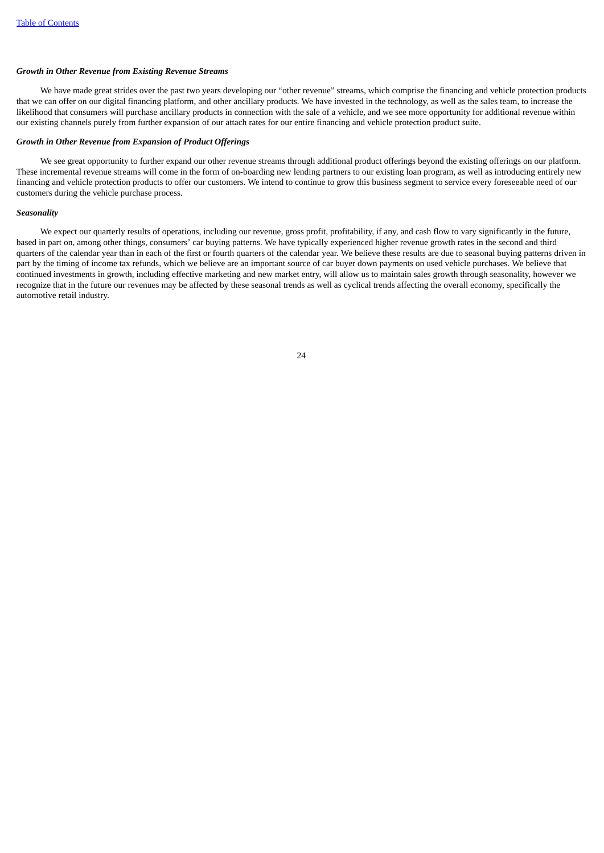#### *Growth in Other Revenue from Existing Revenue Streams*

We have made great strides over the past two years developing our "other revenue" streams, which comprise the financing and vehicle protection products that we can offer on our digital financing platform, and other ancillary products. We have invested in the technology, as well as the sales team, to increase the likelihood that consumers will purchase ancillary products in connection with the sale of a vehicle, and we see more opportunity for additional revenue within our existing channels purely from further expansion of our attach rates for our entire financing and vehicle protection product suite.

## *Growth in Other Revenue from Expansion of Product Offerings*

We see great opportunity to further expand our other revenue streams through additional product offerings beyond the existing offerings on our platform. These incremental revenue streams will come in the form of on-boarding new lending partners to our existing loan program, as well as introducing entirely new financing and vehicle protection products to offer our customers. We intend to continue to grow this business segment to service every foreseeable need of our customers during the vehicle purchase process.

#### *Seasonality*

We expect our quarterly results of operations, including our revenue, gross profit, profitability, if any, and cash flow to vary significantly in the future, based in part on, among other things, consumers' car buying patterns. We have typically experienced higher revenue growth rates in the second and third quarters of the calendar year than in each of the first or fourth quarters of the calendar year. We believe these results are due to seasonal buying patterns driven in part by the timing of income tax refunds, which we believe are an important source of car buyer down payments on used vehicle purchases. We believe that continued investments in growth, including effective marketing and new market entry, will allow us to maintain sales growth through seasonality, however we recognize that in the future our revenues may be affected by these seasonal trends as well as cyclical trends affecting the overall economy, specifically the automotive retail industry.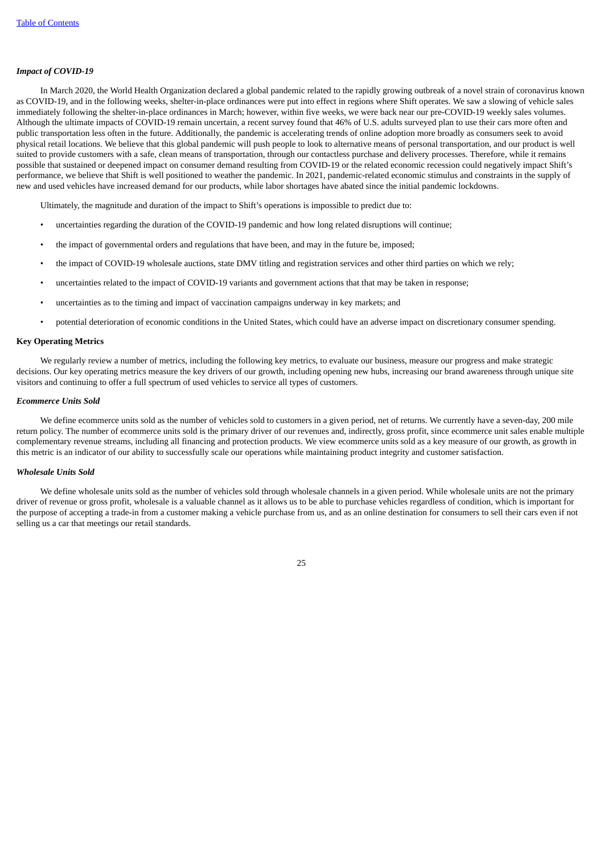### *Impact of COVID-19*

In March 2020, the World Health Organization declared a global pandemic related to the rapidly growing outbreak of a novel strain of coronavirus known as COVID-19, and in the following weeks, shelter-in-place ordinances were put into effect in regions where Shift operates. We saw a slowing of vehicle sales immediately following the shelter-in-place ordinances in March; however, within five weeks, we were back near our pre-COVID-19 weekly sales volumes. Although the ultimate impacts of COVID-19 remain uncertain, a recent survey found that 46% of U.S. adults surveyed plan to use their cars more often and public transportation less often in the future. Additionally, the pandemic is accelerating trends of online adoption more broadly as consumers seek to avoid physical retail locations. We believe that this global pandemic will push people to look to alternative means of personal transportation, and our product is well suited to provide customers with a safe, clean means of transportation, through our contactless purchase and delivery processes. Therefore, while it remains possible that sustained or deepened impact on consumer demand resulting from COVID-19 or the related economic recession could negatively impact Shift's performance, we believe that Shift is well positioned to weather the pandemic. In 2021, pandemic-related economic stimulus and constraints in the supply of new and used vehicles have increased demand for our products, while labor shortages have abated since the initial pandemic lockdowns.

Ultimately, the magnitude and duration of the impact to Shift's operations is impossible to predict due to:

- uncertainties regarding the duration of the COVID-19 pandemic and how long related disruptions will continue;
- the impact of governmental orders and regulations that have been, and may in the future be, imposed;
- the impact of COVID-19 wholesale auctions, state DMV titling and registration services and other third parties on which we rely;
- uncertainties related to the impact of COVID-19 variants and government actions that that may be taken in response;
- uncertainties as to the timing and impact of vaccination campaigns underway in key markets; and
- potential deterioration of economic conditions in the United States, which could have an adverse impact on discretionary consumer spending.

## **Key Operating Metrics**

We regularly review a number of metrics, including the following key metrics, to evaluate our business, measure our progress and make strategic decisions. Our key operating metrics measure the key drivers of our growth, including opening new hubs, increasing our brand awareness through unique site visitors and continuing to offer a full spectrum of used vehicles to service all types of customers.

#### *Ecommerce Units Sold*

We define ecommerce units sold as the number of vehicles sold to customers in a given period, net of returns. We currently have a seven-day, 200 mile return policy. The number of ecommerce units sold is the primary driver of our revenues and, indirectly, gross profit, since ecommerce unit sales enable multiple complementary revenue streams, including all financing and protection products. We view ecommerce units sold as a key measure of our growth, as growth in this metric is an indicator of our ability to successfully scale our operations while maintaining product integrity and customer satisfaction.

### *Wholesale Units Sold*

We define wholesale units sold as the number of vehicles sold through wholesale channels in a given period. While wholesale units are not the primary driver of revenue or gross profit, wholesale is a valuable channel as it allows us to be able to purchase vehicles regardless of condition, which is important for the purpose of accepting a trade-in from a customer making a vehicle purchase from us, and as an online destination for consumers to sell their cars even if not selling us a car that meetings our retail standards.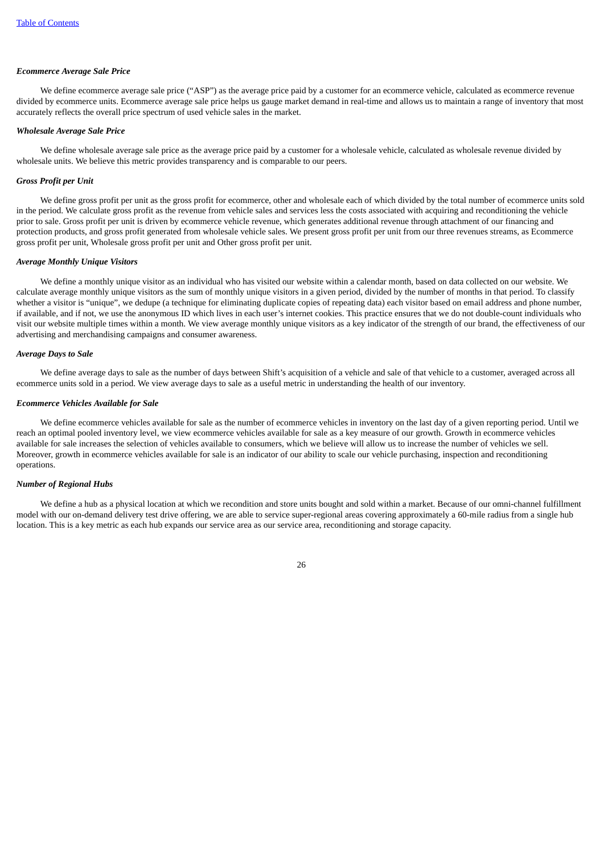### *Ecommerce Average Sale Price*

We define ecommerce average sale price ("ASP") as the average price paid by a customer for an ecommerce vehicle, calculated as ecommerce revenue divided by ecommerce units. Ecommerce average sale price helps us gauge market demand in real-time and allows us to maintain a range of inventory that most accurately reflects the overall price spectrum of used vehicle sales in the market.

#### *Wholesale Average Sale Price*

We define wholesale average sale price as the average price paid by a customer for a wholesale vehicle, calculated as wholesale revenue divided by wholesale units. We believe this metric provides transparency and is comparable to our peers.

#### *Gross Profit per Unit*

We define gross profit per unit as the gross profit for ecommerce, other and wholesale each of which divided by the total number of ecommerce units sold in the period. We calculate gross profit as the revenue from vehicle sales and services less the costs associated with acquiring and reconditioning the vehicle prior to sale. Gross profit per unit is driven by ecommerce vehicle revenue, which generates additional revenue through attachment of our financing and protection products, and gross profit generated from wholesale vehicle sales. We present gross profit per unit from our three revenues streams, as Ecommerce gross profit per unit, Wholesale gross profit per unit and Other gross profit per unit.

### *Average Monthly Unique Visitors*

We define a monthly unique visitor as an individual who has visited our website within a calendar month, based on data collected on our website. We calculate average monthly unique visitors as the sum of monthly unique visitors in a given period, divided by the number of months in that period. To classify whether a visitor is "unique", we dedupe (a technique for eliminating duplicate copies of repeating data) each visitor based on email address and phone number, if available, and if not, we use the anonymous ID which lives in each user's internet cookies. This practice ensures that we do not double-count individuals who visit our website multiple times within a month. We view average monthly unique visitors as a key indicator of the strength of our brand, the effectiveness of our advertising and merchandising campaigns and consumer awareness.

#### *Average Days to Sale*

We define average days to sale as the number of days between Shift's acquisition of a vehicle and sale of that vehicle to a customer, averaged across all ecommerce units sold in a period. We view average days to sale as a useful metric in understanding the health of our inventory.

## *Ecommerce Vehicles Available for Sale*

We define ecommerce vehicles available for sale as the number of ecommerce vehicles in inventory on the last day of a given reporting period. Until we reach an optimal pooled inventory level, we view ecommerce vehicles available for sale as a key measure of our growth. Growth in ecommerce vehicles available for sale increases the selection of vehicles available to consumers, which we believe will allow us to increase the number of vehicles we sell. Moreover, growth in ecommerce vehicles available for sale is an indicator of our ability to scale our vehicle purchasing, inspection and reconditioning operations.

#### *Number of Regional Hubs*

We define a hub as a physical location at which we recondition and store units bought and sold within a market. Because of our omni-channel fulfillment model with our on-demand delivery test drive offering, we are able to service super-regional areas covering approximately a 60-mile radius from a single hub location. This is a key metric as each hub expands our service area as our service area, reconditioning and storage capacity.

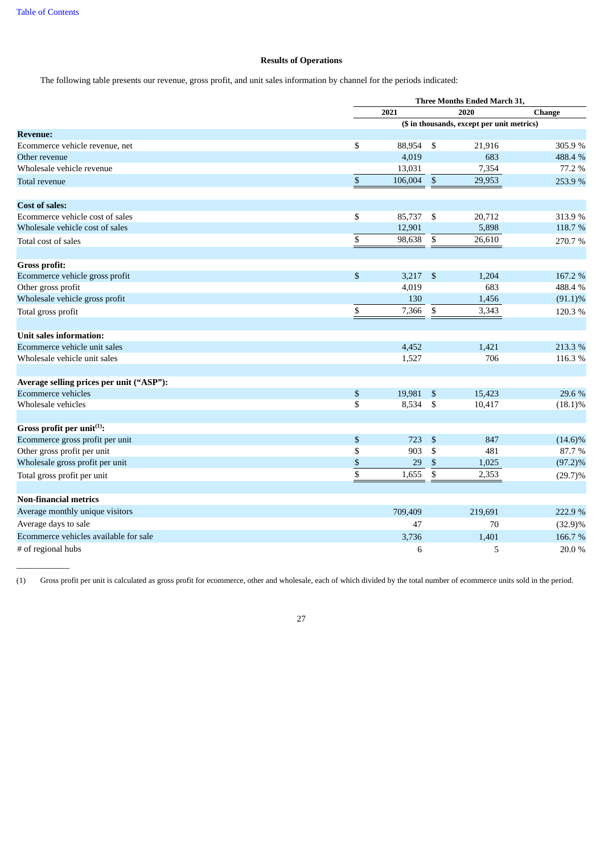$\overline{\phantom{a}}$ 

## **Results of Operations**

The following table presents our revenue, gross profit, and unit sales information by channel for the periods indicated:

|                                          |               | Three Months Ended March 31, |                           |                                            |               |  |
|------------------------------------------|---------------|------------------------------|---------------------------|--------------------------------------------|---------------|--|
|                                          |               | 2021                         |                           | 2020                                       | <b>Change</b> |  |
|                                          |               |                              |                           | (\$ in thousands, except per unit metrics) |               |  |
| <b>Revenue:</b>                          |               |                              |                           |                                            |               |  |
| Ecommerce vehicle revenue, net           | \$            | 88,954                       | -\$                       | 21,916                                     | 305.9%        |  |
| Other revenue                            |               | 4,019                        |                           | 683                                        | 488.4 %       |  |
| Wholesale vehicle revenue                |               | 13,031                       |                           | 7,354                                      | 77.2 %        |  |
| Total revenue                            | $\mathbb{S}$  | 106,004                      | $\mathbb{S}$              | 29,953                                     | 253.9%        |  |
| <b>Cost of sales:</b>                    |               |                              |                           |                                            |               |  |
| Ecommerce vehicle cost of sales          | \$            | 85,737                       | \$                        | 20,712                                     | 313.9 %       |  |
| Wholesale vehicle cost of sales          |               | 12,901                       |                           | 5,898                                      | 118.7 %       |  |
| Total cost of sales                      | \$            | 98,638                       | $\mathbb{S}$              | 26,610                                     | 270.7%        |  |
| Gross profit:                            |               |                              |                           |                                            |               |  |
| Ecommerce vehicle gross profit           | \$            | 3,217                        | $\boldsymbol{\mathsf{S}}$ | 1,204                                      | 167.2 %       |  |
| Other gross profit                       |               | 4,019                        |                           | 683                                        | 488.4 %       |  |
| Wholesale vehicle gross profit           |               | 130                          |                           | 1,456                                      | $(91.1)\%$    |  |
| Total gross profit                       | \$            | 7,366                        | \$                        | 3,343                                      | 120.3%        |  |
| Unit sales information:                  |               |                              |                           |                                            |               |  |
| Ecommerce vehicle unit sales             |               | 4,452                        |                           | 1,421                                      | 213.3 %       |  |
| Wholesale vehicle unit sales             |               | 1,527                        |                           | 706                                        | 116.3%        |  |
| Average selling prices per unit ("ASP"): |               |                              |                           |                                            |               |  |
| <b>Ecommerce vehicles</b>                | ${\mathbb S}$ | 19,981                       | $\mathcal{S}$             | 15,423                                     | 29.6 %        |  |
| Wholesale vehicles                       | \$            | 8,534                        | -\$                       | 10,417                                     | $(18.1)\%$    |  |
| Gross profit per unit <sup>(1)</sup> :   |               |                              |                           |                                            |               |  |
| Ecommerce gross profit per unit          | $\mathbb{S}$  | 723                          | \$                        | 847                                        | $(14.6)\%$    |  |
| Other gross profit per unit              | \$            | 903                          | \$                        | 481                                        | 87.7%         |  |
| Wholesale gross profit per unit          | $\$$          | 29                           | $\boldsymbol{\mathsf{S}}$ | 1,025                                      | $(97.2)\%$    |  |
| Total gross profit per unit              | \$            | 1,655                        | $\mathbb{S}$              | 2,353                                      | $(29.7)\%$    |  |
| <b>Non-financial metrics</b>             |               |                              |                           |                                            |               |  |
| Average monthly unique visitors          |               | 709,409                      |                           | 219,691                                    | 222.9 %       |  |
| Average days to sale                     |               | 47                           |                           | 70                                         | $(32.9)\%$    |  |
| Ecommerce vehicles available for sale    |               | 3,736                        |                           | 1,401                                      | 166.7%        |  |
| # of regional hubs                       |               | 6                            |                           | 5                                          | 20.0%         |  |

(1) Gross profit per unit is calculated as gross profit for ecommerce, other and wholesale, each of which divided by the total number of ecommerce units sold in the period.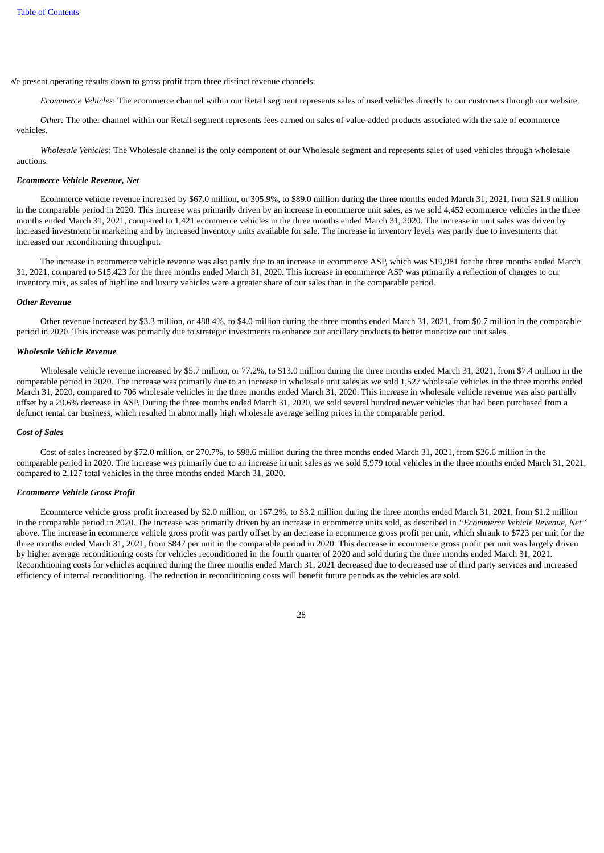We present operating results down to gross profit from three distinct revenue channels:

*Ecommerce Vehicles*: The ecommerce channel within our Retail segment represents sales of used vehicles directly to our customers through our website.

*Other:* The other channel within our Retail segment represents fees earned on sales of value-added products associated with the sale of ecommerce vehicles.

*Wholesale Vehicles:* The Wholesale channel is the only component of our Wholesale segment and represents sales of used vehicles through wholesale auctions.

#### *Ecommerce Vehicle Revenue, Net*

Ecommerce vehicle revenue increased by \$67.0 million, or 305.9%, to \$89.0 million during the three months ended March 31, 2021, from \$21.9 million in the comparable period in 2020. This increase was primarily driven by an increase in ecommerce unit sales, as we sold 4,452 ecommerce vehicles in the three months ended March 31, 2021, compared to 1,421 ecommerce vehicles in the three months ended March 31, 2020. The increase in unit sales was driven by increased investment in marketing and by increased inventory units available for sale. The increase in inventory levels was partly due to investments that increased our reconditioning throughput.

The increase in ecommerce vehicle revenue was also partly due to an increase in ecommerce ASP, which was \$19,981 for the three months ended March 31, 2021, compared to \$15,423 for the three months ended March 31, 2020. This increase in ecommerce ASP was primarily a reflection of changes to our inventory mix, as sales of highline and luxury vehicles were a greater share of our sales than in the comparable period.

#### *Other Revenue*

Other revenue increased by \$3.3 million, or 488.4%, to \$4.0 million during the three months ended March 31, 2021, from \$0.7 million in the comparable period in 2020. This increase was primarily due to strategic investments to enhance our ancillary products to better monetize our unit sales.

#### *Wholesale Vehicle Revenue*

Wholesale vehicle revenue increased by \$5.7 million, or 77.2%, to \$13.0 million during the three months ended March 31, 2021, from \$7.4 million in the comparable period in 2020. The increase was primarily due to an increase in wholesale unit sales as we sold 1,527 wholesale vehicles in the three months ended March 31, 2020, compared to 706 wholesale vehicles in the three months ended March 31, 2020. This increase in wholesale vehicle revenue was also partially offset by a 29.6% decrease in ASP. During the three months ended March 31, 2020, we sold several hundred newer vehicles that had been purchased from a defunct rental car business, which resulted in abnormally high wholesale average selling prices in the comparable period.

#### *Cost of Sales*

Cost of sales increased by \$72.0 million, or 270.7%, to \$98.6 million during the three months ended March 31, 2021, from \$26.6 million in the comparable period in 2020. The increase was primarily due to an increase in unit sales as we sold 5,979 total vehicles in the three months ended March 31, 2021, compared to 2,127 total vehicles in the three months ended March 31, 2020.

#### *Ecommerce Vehicle Gross Profit*

Ecommerce vehicle gross profit increased by \$2.0 million, or 167.2%, to \$3.2 million during the three months ended March 31, 2021, from \$1.2 million in the comparable period in 2020. The increase was primarily driven by an increase in ecommerce units sold, as described in *"Ecommerce Vehicle Revenue, Net"* above. The increase in ecommerce vehicle gross profit was partly offset by an decrease in ecommerce gross profit per unit, which shrank to \$723 per unit for the three months ended March 31, 2021, from \$847 per unit in the comparable period in 2020. This decrease in ecommerce gross profit per unit was largely driven by higher average reconditioning costs for vehicles reconditioned in the fourth quarter of 2020 and sold during the three months ended March 31, 2021. Reconditioning costs for vehicles acquired during the three months ended March 31, 2021 decreased due to decreased use of third party services and increased efficiency of internal reconditioning. The reduction in reconditioning costs will benefit future periods as the vehicles are sold.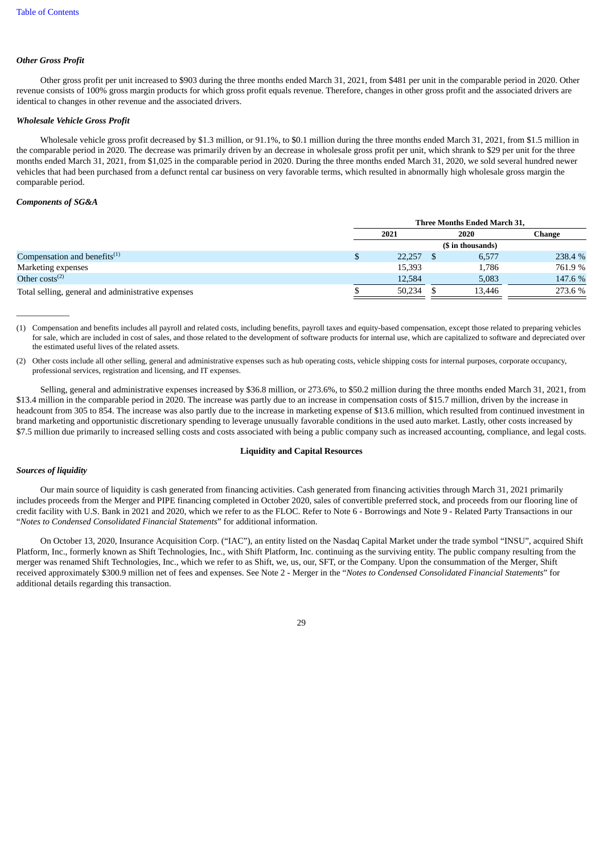## *Other Gross Profit*

Other gross profit per unit increased to \$903 during the three months ended March 31, 2021, from \$481 per unit in the comparable period in 2020. Other revenue consists of 100% gross margin products for which gross profit equals revenue. Therefore, changes in other gross profit and the associated drivers are identical to changes in other revenue and the associated drivers.

### *Wholesale Vehicle Gross Profit*

Wholesale vehicle gross profit decreased by \$1.3 million, or 91.1%, to \$0.1 million during the three months ended March 31, 2021, from \$1.5 million in the comparable period in 2020. The decrease was primarily driven by an decrease in wholesale gross profit per unit, which shrank to \$29 per unit for the three months ended March 31, 2021, from \$1,025 in the comparable period in 2020. During the three months ended March 31, 2020, we sold several hundred newer vehicles that had been purchased from a defunct rental car business on very favorable terms, which resulted in abnormally high wholesale gross margin the comparable period.

## *Components of SG&A*

 $\overline{\phantom{a}}$ 

|                                                    |   | Three Months Ended March 31, |  |        |         |  |  |
|----------------------------------------------------|---|------------------------------|--|--------|---------|--|--|
|                                                    |   | 2021                         |  | 2020   | Change  |  |  |
|                                                    |   | (\$ in thousands)            |  |        |         |  |  |
| Compensation and benefits $(1)$                    | Ъ | 22,257                       |  | 6,577  | 238.4 % |  |  |
| Marketing expenses                                 |   | 15,393                       |  | 1,786  | 761.9%  |  |  |
| Other $costs^{(2)}$                                |   | 12,584                       |  | 5,083  | 147.6 % |  |  |
| Total selling, general and administrative expenses |   | 50,234                       |  | 13,446 | 273.6 % |  |  |

(1) Compensation and benefits includes all payroll and related costs, including benefits, payroll taxes and equity-based compensation, except those related to preparing vehicles for sale, which are included in cost of sales, and those related to the development of software products for internal use, which are capitalized to software and depreciated over the estimated useful lives of the related assets.

(2) Other costs include all other selling, general and administrative expenses such as hub operating costs, vehicle shipping costs for internal purposes, corporate occupancy, professional services, registration and licensing, and IT expenses.

Selling, general and administrative expenses increased by \$36.8 million, or 273.6%, to \$50.2 million during the three months ended March 31, 2021, from \$13.4 million in the comparable period in 2020. The increase was partly due to an increase in compensation costs of \$15.7 million, driven by the increase in headcount from 305 to 854. The increase was also partly due to the increase in marketing expense of \$13.6 million, which resulted from continued investment in brand marketing and opportunistic discretionary spending to leverage unusually favorable conditions in the used auto market. Lastly, other costs increased by \$7.5 million due primarily to increased selling costs and costs associated with being a public company such as increased accounting, compliance, and legal costs.

#### **Liquidity and Capital Resources**

## *Sources of liquidity*

Our main source of liquidity is cash generated from financing activities. Cash generated from financing activities through March 31, 2021 primarily includes proceeds from the Merger and PIPE financing completed in October 2020, sales of convertible preferred stock, and proceeds from our flooring line of credit facility with U.S. Bank in 2021 and 2020, which we refer to as the FLOC. Refer to Note 6 - Borrowings and Note 9 - Related Party Transactions in our "*Notes to Condensed Consolidated Financial Statements*" for additional information.

On October 13, 2020, Insurance Acquisition Corp. ("IAC"), an entity listed on the Nasdaq Capital Market under the trade symbol "INSU", acquired Shift Platform, Inc., formerly known as Shift Technologies, Inc., with Shift Platform, Inc. continuing as the surviving entity. The public company resulting from the merger was renamed Shift Technologies, Inc., which we refer to as Shift, we, us, our, SFT, or the Company. Upon the consummation of the Merger, Shift received approximately \$300.9 million net of fees and expenses. See Note 2 - Merger in the "*Notes to Condensed Consolidated Financial Statements*" for additional details regarding this transaction.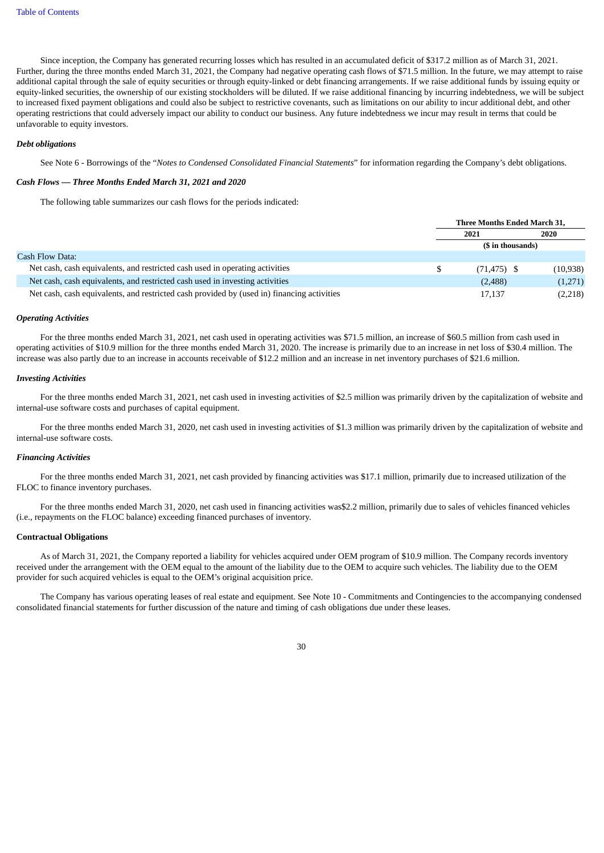Since inception, the Company has generated recurring losses which has resulted in an accumulated deficit of \$317.2 million as of March 31, 2021. Further, during the three months ended March 31, 2021, the Company had negative operating cash flows of \$71.5 million. In the future, we may attempt to raise additional capital through the sale of equity securities or through equity-linked or debt financing arrangements. If we raise additional funds by issuing equity or equity-linked securities, the ownership of our existing stockholders will be diluted. If we raise additional financing by incurring indebtedness, we will be subject to increased fixed payment obligations and could also be subject to restrictive covenants, such as limitations on our ability to incur additional debt, and other operating restrictions that could adversely impact our ability to conduct our business. Any future indebtedness we incur may result in terms that could be unfavorable to equity investors.

#### *Debt obligations*

See Note 6 - Borrowings of the "*Notes to Condensed Consolidated Financial Statements*" for information regarding the Company's debt obligations.

### *Cash Flows — Three Months Ended March 31, 2021 and 2020*

The following table summarizes our cash flows for the periods indicated:

|                                                                                            |      | Three Months Ended March 31, |           |  |  |
|--------------------------------------------------------------------------------------------|------|------------------------------|-----------|--|--|
|                                                                                            | 2021 |                              | 2020      |  |  |
|                                                                                            |      | (\$ in thousands)            |           |  |  |
| Cash Flow Data:                                                                            |      |                              |           |  |  |
| Net cash, cash equivalents, and restricted cash used in operating activities               |      | $(71, 475)$ \$               | (10, 938) |  |  |
| Net cash, cash equivalents, and restricted cash used in investing activities               |      | (2,488)                      | (1,271)   |  |  |
| Net cash, cash equivalents, and restricted cash provided by (used in) financing activities |      | 17.137                       | (2,218)   |  |  |

#### *Operating Activities*

For the three months ended March 31, 2021, net cash used in operating activities was \$71.5 million, an increase of \$60.5 million from cash used in operating activities of \$10.9 million for the three months ended March 31, 2020. The increase is primarily due to an increase in net loss of \$30.4 million. The increase was also partly due to an increase in accounts receivable of \$12.2 million and an increase in net inventory purchases of \$21.6 million.

#### *Investing Activities*

For the three months ended March 31, 2021, net cash used in investing activities of \$2.5 million was primarily driven by the capitalization of website and internal-use software costs and purchases of capital equipment.

For the three months ended March 31, 2020, net cash used in investing activities of \$1.3 million was primarily driven by the capitalization of website and internal-use software costs.

#### *Financing Activities*

For the three months ended March 31, 2021, net cash provided by financing activities was \$17.1 million, primarily due to increased utilization of the FLOC to finance inventory purchases.

For the three months ended March 31, 2020, net cash used in financing activities was\$2.2 million, primarily due to sales of vehicles financed vehicles (i.e., repayments on the FLOC balance) exceeding financed purchases of inventory.

### **Contractual Obligations**

As of March 31, 2021, the Company reported a liability for vehicles acquired under OEM program of \$10.9 million. The Company records inventory received under the arrangement with the OEM equal to the amount of the liability due to the OEM to acquire such vehicles. The liability due to the OEM provider for such acquired vehicles is equal to the OEM's original acquisition price.

The Company has various operating leases of real estate and equipment. See Note 10 - Commitments and Contingencies to the accompanying condensed consolidated financial statements for further discussion of the nature and timing of cash obligations due under these leases.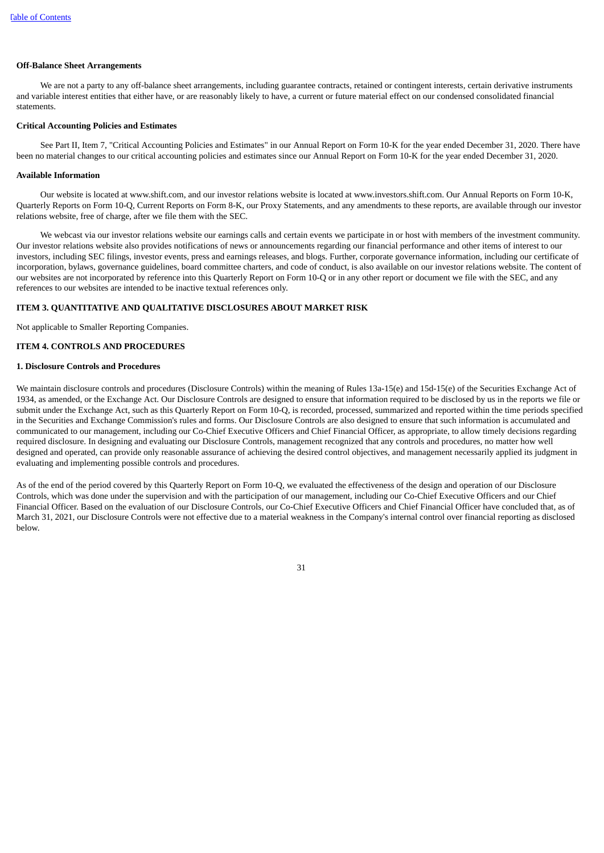#### **Off-Balance Sheet Arrangements**

We are not a party to any off-balance sheet arrangements, including guarantee contracts, retained or contingent interests, certain derivative instruments and variable interest entities that either have, or are reasonably likely to have, a current or future material effect on our condensed consolidated financial statements.

## **Critical Accounting Policies and Estimates**

See Part II, Item 7, "Critical Accounting Policies and Estimates" in our Annual Report on Form 10-K for the year ended December 31, 2020. There have been no material changes to our critical accounting policies and estimates since our Annual Report on Form 10-K for the year ended December 31, 2020.

#### **Available Information**

Our website is located at www.shift.com, and our investor relations website is located at www.investors.shift.com. Our Annual Reports on Form 10-K, Quarterly Reports on Form 10-Q, Current Reports on Form 8-K, our Proxy Statements, and any amendments to these reports, are available through our investor relations website, free of charge, after we file them with the SEC.

We webcast via our investor relations website our earnings calls and certain events we participate in or host with members of the investment community. Our investor relations website also provides notifications of news or announcements regarding our financial performance and other items of interest to our investors, including SEC filings, investor events, press and earnings releases, and blogs. Further, corporate governance information, including our certificate of incorporation, bylaws, governance guidelines, board committee charters, and code of conduct, is also available on our investor relations website. The content of our websites are not incorporated by reference into this Quarterly Report on Form 10-Q or in any other report or document we file with the SEC, and any references to our websites are intended to be inactive textual references only.

#### <span id="page-35-0"></span>**ITEM 3. QUANTITATIVE AND QUALITATIVE DISCLOSURES ABOUT MARKET RISK**

<span id="page-35-1"></span>Not applicable to Smaller Reporting Companies.

#### **ITEM 4. CONTROLS AND PROCEDURES**

#### **1. Disclosure Controls and Procedures**

We maintain disclosure controls and procedures (Disclosure Controls) within the meaning of Rules 13a-15(e) and 15d-15(e) of the Securities Exchange Act of 1934, as amended, or the Exchange Act. Our Disclosure Controls are designed to ensure that information required to be disclosed by us in the reports we file or submit under the Exchange Act, such as this Quarterly Report on Form 10-Q, is recorded, processed, summarized and reported within the time periods specified in the Securities and Exchange Commission's rules and forms. Our Disclosure Controls are also designed to ensure that such information is accumulated and communicated to our management, including our Co-Chief Executive Officers and Chief Financial Officer, as appropriate, to allow timely decisions regarding required disclosure. In designing and evaluating our Disclosure Controls, management recognized that any controls and procedures, no matter how well designed and operated, can provide only reasonable assurance of achieving the desired control objectives, and management necessarily applied its judgment in evaluating and implementing possible controls and procedures.

As of the end of the period covered by this Quarterly Report on Form 10-Q, we evaluated the effectiveness of the design and operation of our Disclosure Controls, which was done under the supervision and with the participation of our management, including our Co-Chief Executive Officers and our Chief Financial Officer. Based on the evaluation of our Disclosure Controls, our Co-Chief Executive Officers and Chief Financial Officer have concluded that, as of March 31, 2021, our Disclosure Controls were not effective due to a material weakness in the Company's internal control over financial reporting as disclosed below.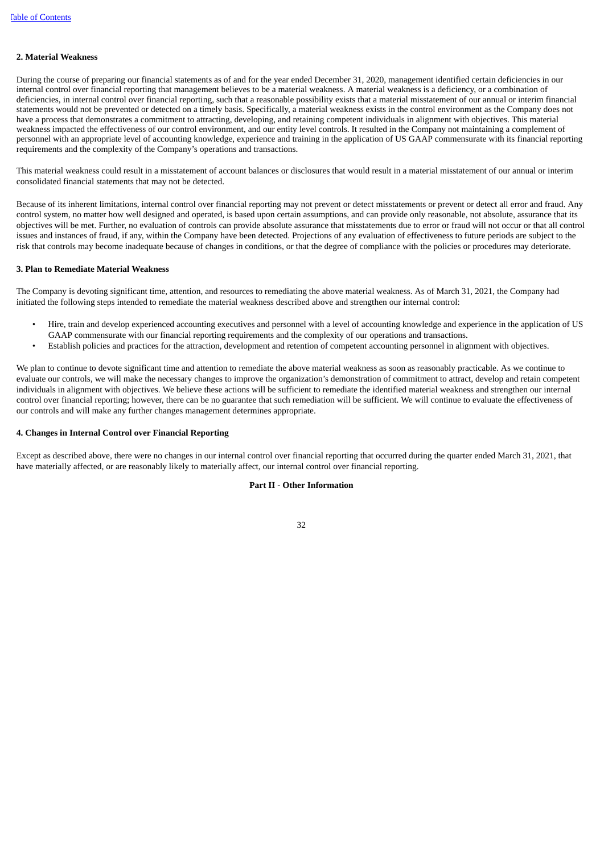#### **2. Material Weakness**

During the course of preparing our financial statements as of and for the year ended December 31, 2020, management identified certain deficiencies in our internal control over financial reporting that management believes to be a material weakness. A material weakness is a deficiency, or a combination of deficiencies, in internal control over financial reporting, such that a reasonable possibility exists that a material misstatement of our annual or interim financial statements would not be prevented or detected on a timely basis. Specifically, a material weakness exists in the control environment as the Company does not have a process that demonstrates a commitment to attracting, developing, and retaining competent individuals in alignment with objectives. This material weakness impacted the effectiveness of our control environment, and our entity level controls. It resulted in the Company not maintaining a complement of personnel with an appropriate level of accounting knowledge, experience and training in the application of US GAAP commensurate with its financial reporting requirements and the complexity of the Company's operations and transactions.

This material weakness could result in a misstatement of account balances or disclosures that would result in a material misstatement of our annual or interim consolidated financial statements that may not be detected.

Because of its inherent limitations, internal control over financial reporting may not prevent or detect misstatements or prevent or detect all error and fraud. Any control system, no matter how well designed and operated, is based upon certain assumptions, and can provide only reasonable, not absolute, assurance that its objectives will be met. Further, no evaluation of controls can provide absolute assurance that misstatements due to error or fraud will not occur or that all control issues and instances of fraud, if any, within the Company have been detected. Projections of any evaluation of effectiveness to future periods are subject to the risk that controls may become inadequate because of changes in conditions, or that the degree of compliance with the policies or procedures may deteriorate.

#### **3. Plan to Remediate Material Weakness**

The Company is devoting significant time, attention, and resources to remediating the above material weakness. As of March 31, 2021, the Company had initiated the following steps intended to remediate the material weakness described above and strengthen our internal control:

- Hire, train and develop experienced accounting executives and personnel with a level of accounting knowledge and experience in the application of US GAAP commensurate with our financial reporting requirements and the complexity of our operations and transactions.
- Establish policies and practices for the attraction, development and retention of competent accounting personnel in alignment with objectives.

We plan to continue to devote significant time and attention to remediate the above material weakness as soon as reasonably practicable. As we continue to evaluate our controls, we will make the necessary changes to improve the organization's demonstration of commitment to attract, develop and retain competent individuals in alignment with objectives. We believe these actions will be sufficient to remediate the identified material weakness and strengthen our internal control over financial reporting; however, there can be no guarantee that such remediation will be sufficient. We will continue to evaluate the effectiveness of our controls and will make any further changes management determines appropriate.

#### **4. Changes in Internal Control over Financial Reporting**

<span id="page-36-1"></span><span id="page-36-0"></span>Except as described above, there were no changes in our internal control over financial reporting that occurred during the quarter ended March 31, 2021, that have materially affected, or are reasonably likely to materially affect, our internal control over financial reporting.

#### **Part II - Other Information**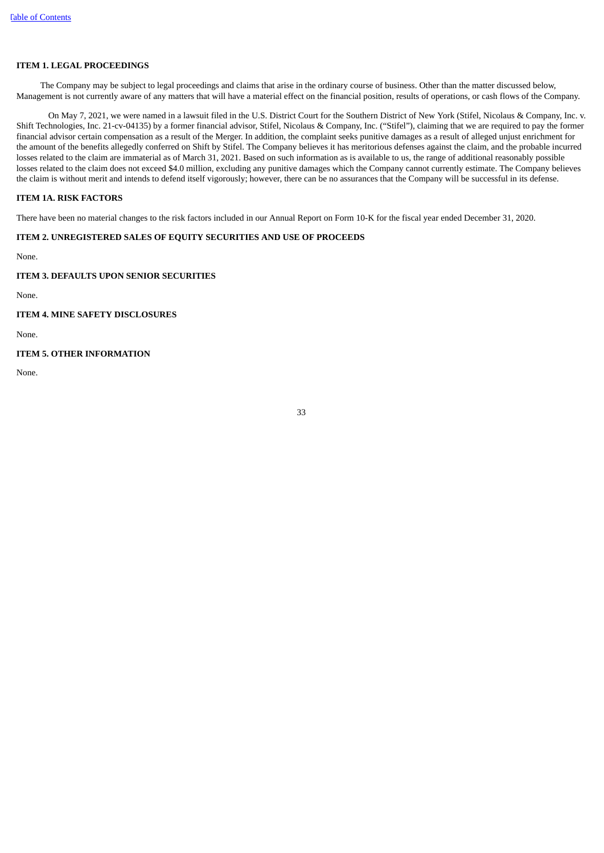## **ITEM 1. LEGAL PROCEEDINGS**

The Company may be subject to legal proceedings and claims that arise in the ordinary course of business. Other than the matter discussed below, Management is not currently aware of any matters that will have a material effect on the financial position, results of operations, or cash flows of the Company.

On May 7, 2021, we were named in a lawsuit filed in the U.S. District Court for the Southern District of New York (Stifel, Nicolaus & Company, Inc. v. Shift Technologies, Inc. 21-cv-04135) by a former financial advisor, Stifel, Nicolaus & Company, Inc. ("Stifel"), claiming that we are required to pay the former financial advisor certain compensation as a result of the Merger. In addition, the complaint seeks punitive damages as a result of alleged unjust enrichment for the amount of the benefits allegedly conferred on Shift by Stifel. The Company believes it has meritorious defenses against the claim, and the probable incurred losses related to the claim are immaterial as of March 31, 2021. Based on such information as is available to us, the range of additional reasonably possible losses related to the claim does not exceed \$4.0 million, excluding any punitive damages which the Company cannot currently estimate. The Company believes the claim is without merit and intends to defend itself vigorously; however, there can be no assurances that the Company will be successful in its defense.

## <span id="page-37-0"></span>**ITEM 1A. RISK FACTORS**

<span id="page-37-1"></span>There have been no material changes to the risk factors included in our Annual Report on Form 10-K for the fiscal year ended December 31, 2020.

## **ITEM 2. UNREGISTERED SALES OF EQUITY SECURITIES AND USE OF PROCEEDS**

None.

## <span id="page-37-2"></span>**ITEM 3. DEFAULTS UPON SENIOR SECURITIES**

None.

<span id="page-37-3"></span>**ITEM 4. MINE SAFETY DISCLOSURES**

<span id="page-37-4"></span>None.

## **ITEM 5. OTHER INFORMATION**

<span id="page-37-5"></span>None.

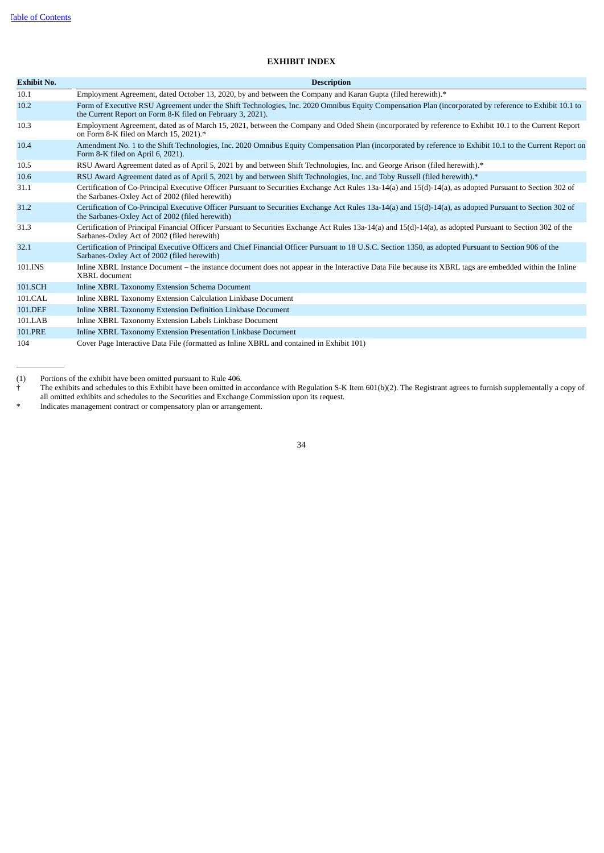$\overline{\phantom{a}}$   $\overline{\phantom{a}}$   $\overline{\phantom{a}}$   $\overline{\phantom{a}}$   $\overline{\phantom{a}}$   $\overline{\phantom{a}}$   $\overline{\phantom{a}}$   $\overline{\phantom{a}}$   $\overline{\phantom{a}}$   $\overline{\phantom{a}}$   $\overline{\phantom{a}}$   $\overline{\phantom{a}}$   $\overline{\phantom{a}}$   $\overline{\phantom{a}}$   $\overline{\phantom{a}}$   $\overline{\phantom{a}}$   $\overline{\phantom{a}}$   $\overline{\phantom{a}}$   $\overline{\$ 

## **EXHIBIT INDEX**

| <b>Exhibit No.</b> | <b>Description</b>                                                                                                                                                                                                   |
|--------------------|----------------------------------------------------------------------------------------------------------------------------------------------------------------------------------------------------------------------|
| 10.1               | Employment Agreement, dated October 13, 2020, by and between the Company and Karan Gupta (filed herewith).*                                                                                                          |
| 10.2               | Form of Executive RSU Agreement under the Shift Technologies, Inc. 2020 Omnibus Equity Compensation Plan (incorporated by reference to Exhibit 10.1 to<br>the Current Report on Form 8-K filed on February 3, 2021). |
| 10.3               | Employment Agreement, dated as of March 15, 2021, between the Company and Oded Shein (incorporated by reference to Exhibit 10.1 to the Current Report<br>on Form 8-K filed on March 15, 2021).*                      |
| 10.4               | Amendment No. 1 to the Shift Technologies, Inc. 2020 Omnibus Equity Compensation Plan (incorporated by reference to Exhibit 10.1 to the Current Report on<br>Form 8-K filed on April 6, 2021).                       |
| 10.5               | RSU Award Agreement dated as of April 5, 2021 by and between Shift Technologies, Inc. and George Arison (filed herewith).*                                                                                           |
| 10.6               | RSU Award Agreement dated as of April 5, 2021 by and between Shift Technologies, Inc. and Toby Russell (filed herewith).*                                                                                            |
| 31.1               | Certification of Co-Principal Executive Officer Pursuant to Securities Exchange Act Rules 13a-14(a) and 15(d)-14(a), as adopted Pursuant to Section 302 of<br>the Sarbanes-Oxley Act of 2002 (filed herewith)        |
| 31.2               | Certification of Co-Principal Executive Officer Pursuant to Securities Exchange Act Rules 13a-14(a) and 15(d)-14(a), as adopted Pursuant to Section 302 of<br>the Sarbanes-Oxley Act of 2002 (filed herewith)        |
| 31.3               | Certification of Principal Financial Officer Pursuant to Securities Exchange Act Rules 13a-14(a) and 15(d)-14(a), as adopted Pursuant to Section 302 of the<br>Sarbanes-Oxley Act of 2002 (filed herewith)           |
| 32.1               | Certification of Principal Executive Officers and Chief Financial Officer Pursuant to 18 U.S.C. Section 1350, as adopted Pursuant to Section 906 of the<br>Sarbanes-Oxley Act of 2002 (filed herewith)               |
| 101.INS            | Inline XBRL Instance Document – the instance document does not appear in the Interactive Data File because its XBRL tags are embedded within the Inline<br>XBRL document                                             |
| 101.SCH            | Inline XBRL Taxonomy Extension Schema Document                                                                                                                                                                       |
| 101.CAL            | Inline XBRL Taxonomy Extension Calculation Linkbase Document                                                                                                                                                         |
| 101.DEF            | Inline XBRL Taxonomy Extension Definition Linkbase Document                                                                                                                                                          |
| 101.LAB            | Inline XBRL Taxonomy Extension Labels Linkbase Document                                                                                                                                                              |
| 101.PRE            | Inline XBRL Taxonomy Extension Presentation Linkbase Document                                                                                                                                                        |
| 104                | Cover Page Interactive Data File (formatted as Inline XBRL and contained in Exhibit 101)                                                                                                                             |

(1) Portions of the exhibit have been omitted pursuant to Rule 406.

† The exhibits and schedules to this Exhibit have been omitted in accordance with Regulation S-K Item 601(b)(2). The Registrant agrees to furnish supplementally a copy of all omitted exhibits and schedules to the Securities and Exchange Commission upon its request.

<span id="page-38-0"></span>Indicates management contract or compensatory plan or arrangement.